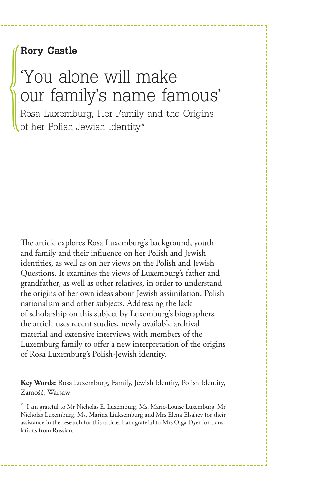# **Rory Castle**

# **}** 'You alone will make our family's name famous'

Rosa Luxemburg, Her Family and the Origins of her Polish-Jewish Identity\*

The article explores Rosa Luxemburg's background, youth and family and their influence on her Polish and Jewish identities, as well as on her views on the Polish and Jewish Questions. It examines the views of Luxemburg's father and grandfather, as well as other relatives, in order to understand the origins of her own ideas about Jewish assimilation, Polish nationalism and other subjects. Addressing the lack of scholarship on this subject by Luxemburg's biographers, the article uses recent studies, newly available archival material and extensive interviews with members of the Luxemburg family to offer a new interpretation of the origins of Rosa Luxemburg's Polish-Jewish identity.

**Key Words:** Rosa Luxemburg, Family, Jewish Identity, Polish Identity, Zamość, Warsaw

\* I am grateful to Mr Nicholas E. Luxemburg, Ms. Marie-Louise Luxemburg, Mr Nicholas Luxemburg, Ms. Marina Liuksemburg and Mrs Elena Elsahev for their assistance in the research for this article. I am grateful to Mrs Olga Dyer for translations from Russian.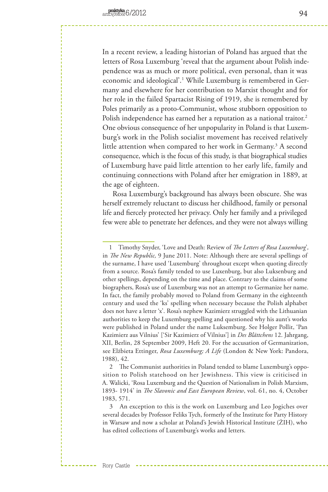In a recent review, a leading historian of Poland has argued that the letters of Rosa Luxemburg 'reveal that the argument about Polish independence was as much or more political, even personal, than it was economic and ideological'.1 While Luxemburg is remembered in Germany and elsewhere for her contribution to Marxist thought and for her role in the failed Spartacist Rising of 1919, she is remembered by Poles primarily as a proto-Communist, whose stubborn opposition to Polish independence has earned her a reputation as a national traitor.<sup>2</sup> One obvious consequence of her unpopularity in Poland is that Luxemburg's work in the Polish socialist movement has received relatively little attention when compared to her work in Germany.3 A second consequence, which is the focus of this study, is that biographical studies of Luxemburg have paid little attention to her early life, family and continuing connections with Poland after her emigration in 1889, at the age of eighteen.

Rosa Luxemburg's background has always been obscure. She was herself extremely reluctant to discuss her childhood, family or personal life and fiercely protected her privacy. Only her family and a privileged few were able to penetrate her defences, and they were not always willing

1 Timothy Snyder, 'Love and Death: Review of *The Letters of Rosa Luxemburg*'*,*  in *The New Republic,* 9 June 2011. Note: Although there are several spellings of the surname, I have used 'Luxemburg' throughout except when quoting directly from a source. Rosa's family tended to use Luxenburg, but also Luksenburg and other spellings, depending on the time and place. Contrary to the claims of some biographers, Rosa's use of Luxemburg was not an attempt to Germanize her name. In fact, the family probably moved to Poland from Germany in the eighteenth century and used the 'ks' spelling when necessary because the Polish alphabet does not have a letter 'x'. Rosa's nephew Kazimierz struggled with the Lithuanian authorities to keep the Luxemburg spelling and questioned why his aunt's works were published in Poland under the name Luksemburg. See Holger Pollit, 'Pan Kazimierz aus Vilnius' ['Sir Kazimierz of Vilnius'] in *Des Blättchens* 12. Jahrgang, XII, Berlin, 28 September 2009, Heft 20. For the accusation of Germanization, see Elżbieta Ettinger, *Rosa Luxemburg; A Life* (London & New York: Pandora, 1988), 42.

2 The Communist authorities in Poland tended to blame Luxemburg's opposition to Polish statehood on her Jewishness. This view is criticised in A. Walicki, 'Rosa Luxemburg and the Question of Nationalism in Polish Marxism, 1893- 1914' in *The Slavonic and East European Review*, vol. 61, no. 4, October 1983, 571.

3 An exception to this is the work on Luxemburg and Leo Jogiches over several decades by Professor Feliks Tych, formerly of the Institute for Party History in Warsaw and now a scholar at Poland's Jewish Historical Institute (ŻIH), who has edited collections of Luxemburg's works and letters.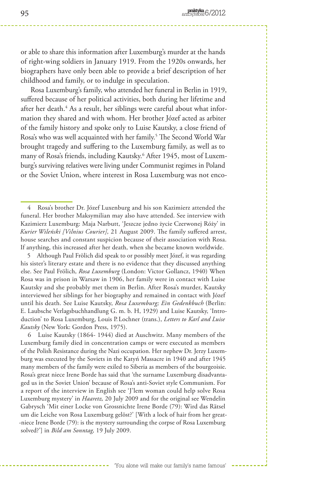or able to share this information after Luxemburg's murder at the hands of right-wing soldiers in January 1919. From the 1920s onwards, her biographers have only been able to provide a brief description of her childhood and family, or to indulge in speculation.

Rosa Luxemburg's family, who attended her funeral in Berlin in 1919, suffered because of her political activities, both during her lifetime and after her death.<sup>4</sup> As a result, her siblings were careful about what information they shared and with whom. Her brother Józef acted as arbiter of the family history and spoke only to Luise Kautsky, a close friend of Rosa's who was well acquainted with her family.<sup>5</sup> The Second World War brought tragedy and suffering to the Luxemburg family, as well as to many of Rosa's friends, including Kautsky.6 After 1945, most of Luxemburg's surviving relatives were living under Communist regimes in Poland or the Soviet Union, where interest in Rosa Luxemburg was not enco-

5 Although Paul Frölich did speak to or possibly meet Józef, it was regarding his sister's literary estate and there is no evidence that they discussed anything else. See Paul Frölich, *Rosa Luxemburg* (London: Victor Gollancz, 1940) When Rosa was in prison in Warsaw in 1906, her family were in contact with Luise Kautsky and she probably met them in Berlin. After Rosa's murder, Kautsky interviewed her siblings for her biography and remained in contact with Józef until his death. See Luise Kautsky, *Rosa Luxemburg; Ein Gedenkbuch* (Berlin: E. Laubsche Verlagsbuchhandlung G. m. b. H, 1929) and Luise Kautsky, 'Introduction' to Rosa Luxemburg, Louis P. Lochner (trans.), *Letters to Karl and Luise Kautsky* (New York: Gordon Press, 1975).

6 Luise Kautsky (1864- 1944) died at Auschwitz. Many members of the Luxemburg family died in concentration camps or were executed as members of the Polish Resistance during the Nazi occupation. Her nephew Dr. Jerzy Luxemburg was executed by the Soviets in the Katyń Massacre in 1940 and after 1945 many members of the family were exiled to Siberia as members of the bourgeoisie. Rosa's great niece Irene Borde has said that 'the surname Luxemburg disadvantaged us in the Soviet Union' because of Rosa's anti-Soviet style Communism. For a report of the interview in English see 'J'lem woman could help solve Rosa Luxemburg mystery' in *Haaretz,* 20 July 2009 and for the original see Wendelin Gabrysch 'Mit einer Locke von Grossnichte Irene Borde (79): Wird das Rätsel um die Leiche von Rosa Luxemburg gelöst?' [With a lock of hair from her great- -niece Irene Borde (79): is the mystery surrounding the corpse of Rosa Luxemburg solved?'] in *Bild am Sonntag,* 19 July 2009.

<sup>4</sup> Rosa's brother Dr. Józef Luxenburg and his son Kazimierz attended the funeral. Her brother Maksymilian may also have attended. See interview with Kazimierz Luxemburg: Maja Narbutt, 'Jeszcze jedno życie Czerwonej Róży' in *Kurier Wileński [Vilnius Courier],* 21 August 2009. The family suffered arrest, house searches and constant suspicion because of their association with Rosa. If anything, this increased after her death, when she became known worldwide.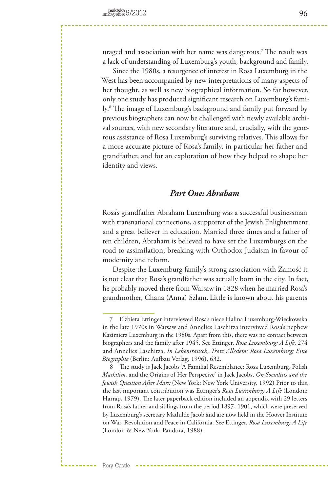uraged and association with her name was dangerous.7 The result was a lack of understanding of Luxemburg's youth, background and family.

Since the 1980s, a resurgence of interest in Rosa Luxemburg in the West has been accompanied by new interpretations of many aspects of her thought, as well as new biographical information. So far however, only one study has produced significant research on Luxemburg's family.8 The image of Luxemburg's background and family put forward by previous biographers can now be challenged with newly available archival sources, with new secondary literature and, crucially, with the generous assistance of Rosa Luxemburg's surviving relatives. This allows for a more accurate picture of Rosa's family, in particular her father and grandfather, and for an exploration of how they helped to shape her identity and views.

### *Part One: Abraham*

Rosa's grandfather Abraham Luxemburg was a successful businessman with transnational connections, a supporter of the Jewish Enlightenment and a great believer in education. Married three times and a father of ten children, Abraham is believed to have set the Luxemburgs on the road to assimilation, breaking with Orthodox Judaism in favour of modernity and reform.

Despite the Luxemburg family's strong association with Zamość it is not clear that Rosa's grandfather was actually born in the city. In fact, he probably moved there from Warsaw in 1828 when he married Rosa's grandmother, Chana (Anna) Szlam. Little is known about his parents

<sup>7</sup> Elżbieta Ettinger interviewed Rosa's niece Halina Luxemburg-Więckowska in the late 1970s in Warsaw and Annelies Laschitza interviwed Rosa's nephew Kazimierz Luxemburg in the 1980s. Apart from this, there was no contact between biographers and the family after 1945. See Ettinger, *Rosa Luxemburg; A Life*, 274 and Annelies Laschitza, *In Lebensrausch, Trotz Alledem: Rosa Luxemburg; Eine Biographie* (Berlin: Aufbau Verlag, 1996), 632.

<sup>8</sup> The study is Jack Jacobs 'A Familial Resemblance: Rosa Luxemburg, Polish *Maskilim,* and the Origins of Her Perspecive' in Jack Jacobs, *On Socialists and the Jewish Question After Marx* (New York: New York University, 1992) Prior to this, the last important contribution was Ettinger's *Rosa Luxemburg; A Life* (London: Harrap, 1979). The later paperback edition included an appendix with 29 letters from Rosa's father and siblings from the period 1897- 1901, which were preserved by Luxemburg's secretary Mathilde Jacob and are now held in the Hoover Institute on War, Revolution and Peace in California. See Ettinger, *Rosa Luxemburg; A Life*  (London & New York: Pandora, 1988).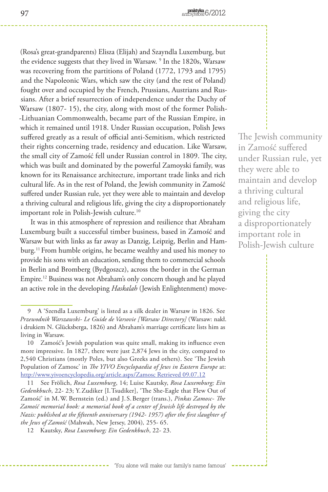(Rosa's great-grandparents) Elisza (Elijah) and Szayndla Luxemburg, but the evidence suggests that they lived in Warsaw. 9 In the 1820s, Warsaw was recovering from the partitions of Poland (1772, 1793 and 1795) and the Napoleonic Wars, which saw the city (and the rest of Poland) fought over and occupied by the French, Prussians, Austrians and Russians. After a brief resurrection of independence under the Duchy of Warsaw (1807- 15), the city, along with most of the former Polish- -Lithuanian Commonwealth, became part of the Russian Empire, in which it remained until 1918. Under Russian occupation, Polish Jews suffered greatly as a result of official anti-Semitism, which restricted their rights concerning trade, residency and education. Like Warsaw, the small city of Zamość fell under Russian control in 1809. The city, which was built and dominated by the powerful Zamoyski family, was known for its Renaissance architecture, important trade links and rich cultural life. As in the rest of Poland, the Jewish community in Zamość suffered under Russian rule, yet they were able to maintain and develop a thriving cultural and religious life, giving the city a disproportionately important role in Polish-Jewish culture.<sup>10</sup>

It was in this atmosphere of repression and resilience that Abraham Luxemburg built a successful timber business, based in Zamość and Warsaw but with links as far away as Danzig, Leipzig, Berlin and Hamburg.11 From humble origins, he became wealthy and used his money to provide his sons with an education, sending them to commercial schools in Berlin and Bromberg (Bydgoszcz), across the border in the German Empire.12 Business was not Abraham's only concern though and he played an active role in the developing *Haskalah* (Jewish Enlightenment) moveThe Jewish community in Zamość suffered under Russian rule, yet they were able to maintain and develop a thriving cultural and religious life, giving the city a disproportionately important role in Polish-Jewish culture

<sup>9</sup> A 'Szendla Luxemburg' is listed as a silk dealer in Warsaw in 1826. See *Przewodnik Warszawski- Le Guide de Varsovie [Warsaw Directory]* (Warsaw: nakł. i drukiem N. Glücksberga, 1826) and Abraham's marriage certificate lists him as living in Warsaw.

<sup>10</sup> Zamość's Jewish population was quite small, making its influence even more impressive. In 1827, there were just 2,874 Jews in the city, compared to 2,540 Christians (mostly Poles, but also Greeks and others). See 'The Jewish Population of Zamosc' in *The YIVO Encyclopaedia of Jews in Eastern Europe* at: http://www.yivoencyclopedia.org/article.aspx/Zamosc Retrieved 09.07.12

<sup>11</sup> See Frölich, *Rosa Luxemburg*, 14; Luise Kautsky, *Rosa Luxemburg; Ein Gedenkbuch*, 22- 23; Y. Zudiker [I. Tsudiker], 'The She-Eagle that Flew Out of Zamość' in M. W. Bernstein (ed.) and J. S. Berger (trans.), *Pinkas Zamosc- The Zamość memorial book: a memorial book of a center of Jewish life destroyed by the Nazis: published at the fifteenth anniversary (1942- 1957) after the first slaughter of the Jews of Zamość* (Mahwah, New Jersey, 2004)*,* 255- 65.

<sup>12</sup> Kautsky, *Rosa Luxemburg; Ein Gedenkbuch*, 22- 23.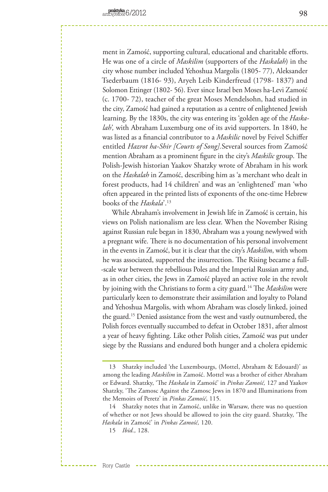ment in Zamość, supporting cultural, educational and charitable efforts. He was one of a circle of *Maskilim* (supporters of the *Haskalah*) in the city whose number included Yehoshua Margolis (1805- 77), Aleksander Tsederbaum (1816- 93), Aryeh Leib Kinderfreud (1798- 1837) and Solomon Ettinger (1802- 56). Ever since Israel ben Moses ha-Levi Zamość (c. 1700- 72), teacher of the great Moses Mendelsohn, had studied in the city, Zamość had gained a reputation as a centre of enlightened Jewish learning. By the 1830s, the city was entering its 'golden age of the *Haskalah',* with Abraham Luxemburg one of its avid supporters. In 1840, he was listed as a financial contributor to a *Maskilic* novel by Feivel Schiffer entitled *Hazrot ha-Shir [Courts of Song].*Several sources from Zamość mention Abraham as a prominent figure in the city's *Maskilic* group. The Polish-Jewish historian Yaakov Shatzky wrote of Abraham in his work on the *Haskalah* in Zamość, describing him as 'a merchant who dealt in forest products, had 14 children' and was an 'enlightened' man 'who often appeared in the printed lists of exponents of the one-time Hebrew books of the *Haskala*'.13

While Abraham's involvement in Jewish life in Zamość is certain, his views on Polish nationalism are less clear. When the November Rising against Russian rule began in 1830, Abraham was a young newlywed with a pregnant wife. There is no documentation of his personal involvement in the events in Zamość, but it is clear that the city's *Maskilim*, with whom he was associated, supported the insurrection. The Rising became a full- -scale war between the rebellious Poles and the Imperial Russian army and, as in other cities, the Jews in Zamość played an active role in the revolt by joining with the Christians to form a city guard.14 The *Maskilim* were particularly keen to demonstrate their assimilation and loyalty to Poland and Yehoshua Margolis, with whom Abraham was closely linked, joined the guard.15 Denied assistance from the west and vastly outnumbered, the Polish forces eventually succumbed to defeat in October 1831, after almost a year of heavy fighting. Like other Polish cities, Zamość was put under siege by the Russians and endured both hunger and a cholera epidemic

<sup>13</sup> Shatzky included 'the Luxembourgs, (Mottel, Abraham & Edouard)' as among the leading *Maskilim* in Zamość. Mottel was a brother of either Abraham or Edward. Shatzky, 'The *Haskala* in Zamość' in *Pinkas Zamość,* 127 and Yaakov Shatzky, 'The Zamosc Against the Zamosc Jews in 1870 and Illuminations from the Memoirs of Peretz' in *Pinkas Zamość*, 115.

<sup>14</sup> Shatzky notes that in Zamość, unlike in Warsaw, there was no question of whether or not Jews should be allowed to join the city guard. Shatzky, 'The *Haskala* in Zamość' in *Pinkas Zamość,* 120.

<sup>15</sup> *Ibid.,* 128.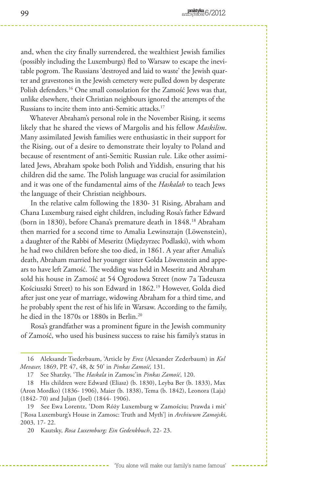and, when the city finally surrendered, the wealthiest Jewish families (possibly including the Luxemburgs) fled to Warsaw to escape the inevitable pogrom. The Russians 'destroyed and laid to waste' the Jewish quarter and gravestones in the Jewish cemetery were pulled down by desperate Polish defenders.<sup>16</sup> One small consolation for the Zamość Jews was that, unlike elsewhere, their Christian neighbours ignored the attempts of the Russians to incite them into anti-Semitic attacks.<sup>17</sup>

Whatever Abraham's personal role in the November Rising, it seems likely that he shared the views of Margolis and his fellow *Maskilim*. Many assimilated Jewish families were enthusiastic in their support for the Rising, out of a desire to demonstrate their loyalty to Poland and because of resentment of anti-Semitic Russian rule. Like other assimilated Jews, Abraham spoke both Polish and Yiddish, ensuring that his children did the same. The Polish language was crucial for assimilation and it was one of the fundamental aims of the *Haskalah* to teach Jews the language of their Christian neighbours.

In the relative calm following the 1830- 31 Rising, Abraham and Chana Luxemburg raised eight children, including Rosa's father Edward (born in 1830), before Chana's premature death in 1848.18 Abraham then married for a second time to Amalia Lewinsztajn (Löwenstein), a daughter of the Rabbi of Meseritz (Międzyrzec Podlaski), with whom he had two children before she too died, in 1861. A year after Amalia's death, Abraham married her younger sister Golda Löwenstein and appears to have left Zamość. The wedding was held in Meseritz and Abraham sold his house in Zamość at 54 Ogrodowa Street (now 7a Tadeusza Kościuszki Street) to his son Edward in 1862.19 However, Golda died after just one year of marriage, widowing Abraham for a third time, and he probably spent the rest of his life in Warsaw. According to the family, he died in the 1870s or 1880s in Berlin.<sup>20</sup>

Rosa's grandfather was a prominent figure in the Jewish community of Zamość, who used his business success to raise his family's status in

<sup>16</sup> Aleksandr Tsederbaum, 'Article by *Erez* (Alexander Zederbaum) in *Kol Mevaser,* 1869, PP. 47, 48, & 50' in *Pinkas Zamość,* 131.

<sup>17</sup> See Shatzky, 'The *Haskala* in Zamosc'in *Pinkas Zamość*, 120.

<sup>18</sup> His children were Edward (Eliasz) (b. 1830), Leyba Ber (b. 1833), Max (Aron Mordko) (1836- 1906), Maier (b. 1838), Tema (b. 1842), Leonora (Laja) (1842- 70) and Juljan (Joel) (1844- 1906).

<sup>19</sup> See Ewa Lorentz, 'Dom Róży Luxemburg w Zamościu; Prawda i mit' ['Rosa Luxemburg's House in Zamosc: Truth and Myth'] in *Archiwum Zamojski,*  2003*,* 17- 22.

<sup>20</sup> Kautsky, *Rosa Luxemburg; Ein Gedenkbuch*, 22- 23.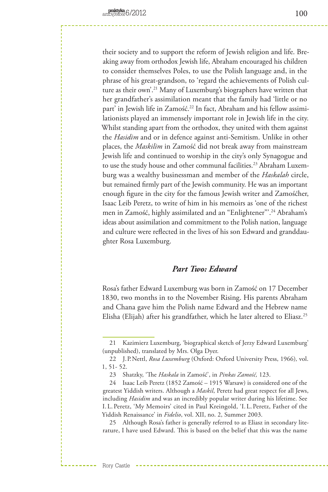their society and to support the reform of Jewish religion and life. Breaking away from orthodox Jewish life, Abraham encouraged his children to consider themselves Poles, to use the Polish language and, in the phrase of his great-grandson, to 'regard the achievements of Polish culture as their own'.21 Many of Luxemburg's biographers have written that her grandfather's assimilation meant that the family had 'little or no part' in Jewish life in Zamość.<sup>22</sup> In fact, Abraham and his fellow assimilationists played an immensely important role in Jewish life in the city. Whilst standing apart from the orthodox, they united with them against the *Hasidim* and or in defence against anti-Semitism. Unlike in other places, the *Maskilim* in Zamość did not break away from mainstream Jewish life and continued to worship in the city's only Synagogue and to use the study house and other communal facilities.<sup>23</sup> Abraham Luxemburg was a wealthy businessman and member of the *Haskalah* circle, but remained firmly part of the Jewish community. He was an important enough figure in the city for the famous Jewish writer and Zamośćher, Isaac Leib Peretz, to write of him in his memoirs as 'one of the richest men in Zamość, highly assimilated and an "Enlightener"'.24 Abraham's ideas about assimilation and commitment to the Polish nation, language and culture were reflected in the lives of his son Edward and granddaughter Rosa Luxemburg.

#### *Part Two: Edward*

Rosa's father Edward Luxemburg was born in Zamość on 17 December 1830, two months in to the November Rising. His parents Abraham and Chana gave him the Polish name Edward and the Hebrew name Elisha (Elijah) after his grandfather, which he later altered to Eliasz.<sup>25</sup>

25 Although Rosa's father is generally referred to as Eliasz in secondary literature, I have used Edward. This is based on the belief that this was the name

<sup>21</sup> Kazimierz Luxemburg, 'biographical sketch of Jerzy Edward Luxemburg' (unpublished), translated by Mrs. Olga Dyer.

<sup>22</sup> J. P. Nettl, *Rosa Luxemburg* (Oxford: Oxford University Press, 1966)*,* vol. 1, 51- 52.

<sup>23</sup> Shatzky, 'The *Haskala* in Zamość', in *Pinkas Zamość,* 123.

<sup>24</sup> Isaac Leib Peretz (1852 Zamość – 1915 Warsaw) is considered one of the greatest Yiddish writers. Although a *Maskil*, Peretz had great respect for all Jews, including *Hasidim* and was an incredibly popular writer during his lifetime. See I. L. Peretz, 'My Memoirs' cited in Paul Kreingold, 'I. L. Peretz, Father of the Yiddish Renaissance' in *Fidelio*, vol. XII, no. 2, Summer 2003.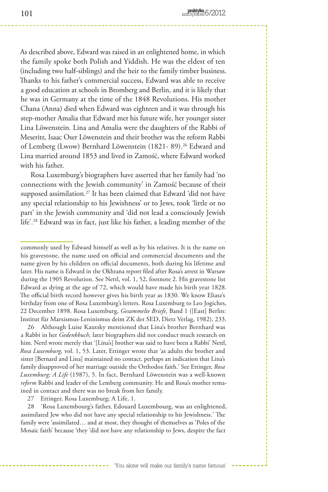As described above, Edward was raised in an enlightened home, in which the family spoke both Polish and Yiddish. He was the eldest of ten (including two half-siblings) and the heir to the family timber business. Thanks to his father's commercial success, Edward was able to receive a good education at schools in Bromberg and Berlin, and it is likely that he was in Germany at the time of the 1848 Revolutions. His mother Chana (Anna) died when Edward was eighteen and it was through his step-mother Amalia that Edward met his future wife, her younger sister Lina Löwenstein. Lina and Amalia were the daughters of the Rabbi of Meseritz, Isaac Oser Löwenstein and their brother was the reform Rabbi of Lemberg (Lwow) Bernhard Löwenstein (1821-89).<sup>26</sup> Edward and Lina married around 1853 and lived in Zamość, where Edward worked with his father.

Rosa Luxemburg's biographers have asserted that her family had 'no connections with the Jewish community' in Zamość because of their supposed assimilation.<sup>27</sup> It has been claimed that Edward 'did not have any special relationship to his Jewishness' or to Jews, took 'little or no part' in the Jewish community and 'did not lead a consciously Jewish life'.28 Edward was in fact, just like his father, a leading member of the

26 Although Luise Kautsky mentioned that Lina's brother Bernhard was a Rabbi in her *Gedenkbuch,* later biographers did not conduct much research on him. Nettl wrote merely that '[Lina's] brother was said to have been a Rabbi' Nettl, *Rosa Luxemburg,* vol. 1, 53. Later, Ettinger wrote that 'as adults the brother and sister [Bernard and Lina] maintained no contact, perhaps an indication that Lina's family disapproved of her marriage outside the Orthodox faith.' See Ettinger, *Rosa Luxemburg; A Life* (1987), 5. In fact, Bernhard Löwenstein was a well-known *reform* Rabbi and leader of the Lemberg community. He and Rosa's mother remained in contact and there was no break from her family.

28 'Rosa Luxembourg's father, Edouard Luxembourg, was an enlightened, assimilated Jew who did not have any special relationship to his Jewishness.' The family were 'assimilated… and at most, they thought of themselves as 'Poles of the Mosaic faith' because 'they 'did not have any relationship to Jews, despite the fact

commonly used by Edward himself as well as by his relatives. It is the name on his gravestone, the name used on official and commercial documents and the name given by his children on official documents, both during his lifetime and later. His name is Edward in the Okhrana report filed after Rosa's arrest in Warsaw during the 1905 Revolution. See Nettl, vol. 1, 52, footnote 2. His gravestone list Edward as dying at the age of 72, which would have made his birth year 1828. The official birth record however gives his birth year as 1830. We know Eliasz's birthday from one of Rosa Luxemburg's letters. Rosa Luxemburg to Leo Jogiches, 22 December 1898. Rosa Luxemburg, *Gesammelte Briefe,* Band 1 ([East] Berlin: Institut für Marxismus-Leninismus deim ZK der SED, Dietz Verlag, 1982), 233.

<sup>27</sup> Ettinger, Rosa Luxemburg; A Life, 1.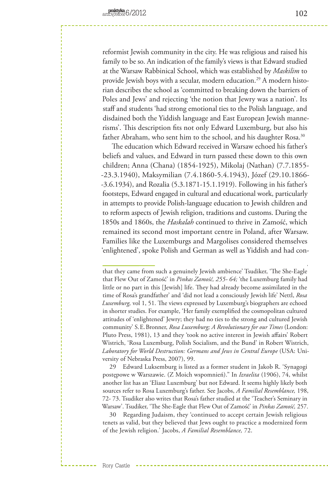reformist Jewish community in the city. He was religious and raised his family to be so. An indication of the family's views is that Edward studied at the Warsaw Rabbinical School, which was established by *Maskilim* to provide Jewish boys with a secular, modern education.<sup>29</sup> A modern historian describes the school as 'committed to breaking down the barriers of Poles and Jews' and rejecting 'the notion that Jewry was a nation'. Its staff and students 'had strong emotional ties to the Polish language, and disdained both the Yiddish language and East European Jewish mannerisms'. This description fits not only Edward Luxemburg, but also his father Abraham, who sent him to the school, and his daughter Rosa.<sup>30</sup>

The education which Edward received in Warsaw echoed his father's beliefs and values, and Edward in turn passed these down to this own children; Anna (Chana) (1854-1925), Mikolaj (Nathan) (7.7.1855- -23.3.1940), Maksymilian (7.4.1860-5.4.1943), Józef (29.10.1866- -3.6.1934), and Rozalia (5.3.1871-15.1.1919). Following in his father's footsteps, Edward engaged in cultural and educational work, particularly in attempts to provide Polish-language education to Jewish children and to reform aspects of Jewish religion, traditions and customs. During the 1850s and 1860s, the *Haskalah* continued to thrive in Zamość, which remained its second most important centre in Poland, after Warsaw. Families like the Luxemburgs and Margolises considered themselves 'enlightened', spoke Polish and German as well as Yiddish and had con-

29 Edward Luksemburg is listed as a former student in Jakob R. 'Synagogi postępowe w Warszawie. (Z Moich wspomnień)." In *Izraelita* (1906), 74, whilst another list has an 'Eliasz Luxemburg' but not Edward. It seems highly likely both sources refer to Rosa Luxemburg's father. See Jacobs, *A Familial Resemblance,* 198, 72- 73. Tsudiker also writes that Rosa's father studied at the 'Teacher's Seminary in Warsaw'. Tsudiker, 'The She-Eagle that Flew Out of Zamość' in *Pinkas Zamość,* 257.

30 Regarding Judaism, they 'continued to accept certain Jewish religious tenets as valid, but they believed that Jews ought to practice a modernized form of the Jewish religion.' Jacobs, *A Familial Resemblance,* 72.

that they came from such a genuinely Jewish ambience' Tsudiker, 'The She-Eagle that Flew Out of Zamość' in *Pinkas Zamość, 255- 64;* 'the Luxemburg family had little or no part in this [Jewish] life. They had already become assimilated in the time of Rosa's grandfather' and 'did not lead a consciously Jewish life' Nettl, *Rosa Luxemburg,* vol 1, 51. The views expressed by Luxemburg's biographers are echoed in shorter studies. For example, 'Her family exemplified the cosmopolitan cultured attitudes of 'enlightened' Jewry; they had no ties to the strong and cultured Jewish community' S. E. Bronner, *Rosa Luxemburg; A Revolutionary for our Times* (London: Pluto Press, 1981), 13 and they 'took no active interest in Jewish affairs' Robert Wistrich, 'Rosa Luxemburg, Polish Socialism, and the Bund' in Robert Wistrich, *Laboratory for World Destruction: Germans and Jews in Central Europe* (USA: University of Nebraska Press, 2007), 99.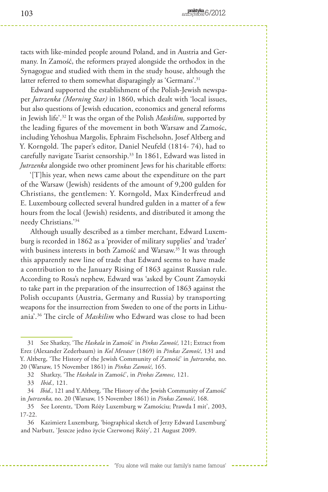tacts with like-minded people around Poland, and in Austria and Germany. In Zamość, the reformers prayed alongside the orthodox in the Synagogue and studied with them in the study house, although the latter referred to them somewhat disparagingly as 'Germans'.<sup>31</sup>

Edward supported the establishment of the Polish-Jewish newspaper *Jutrzenka (Morning Star)* in 1860, which dealt with 'local issues, but also questions of Jewish education, economics and general reforms in Jewish life'.32 It was the organ of the Polish *Maskilim,* supported by the leading figures of the movement in both Warsaw and Zamośc, including Yehoshua Margolis, Ephraim Fischelsohn, Josef Altberg and Y. Korngold. The paper's editor, Daniel Neufeld (1814- 74), had to carefully navigate Tsarist censorship.<sup>33</sup> In 1861, Edward was listed in *Jutrzenka* alongside two other prominent Jews for his charitable efforts:

'[T]his year, when news came about the expenditure on the part of the Warsaw (Jewish) residents of the amount of 9,200 gulden for Christians, the gentlemen: Y. Korngold, Max Kinderfreud and E. Luxembourg collected several hundred gulden in a matter of a few hours from the local (Jewish) residents, and distributed it among the needy Christians.'34

Although usually described as a timber merchant, Edward Luxemburg is recorded in 1862 as a 'provider of military supplies' and 'trader' with business interests in both Zamość and Warsaw.<sup>35</sup> It was through this apparently new line of trade that Edward seems to have made a contribution to the January Rising of 1863 against Russian rule. According to Rosa's nephew, Edward was 'asked by Count Zamoyski to take part in the preparation of the insurrection of 1863 against the Polish occupants (Austria, Germany and Russia) by transporting weapons for the insurrection from Sweden to one of the ports in Lithuania'.36 The circle of *Maskilim* who Edward was close to had been

<sup>31</sup> See Shatkzy, 'The *Haskala* in Zamość' in *Pinkas Zamość,* 121; Extract from Erez (Alexander Zederbaum) in *Kol Mevaser* (1869) in *Pinkas Zamość*, 131 and Y. Altberg, 'The History of the Jewish Community of Zamość' in *Jutrzenka,* no. 20 (Warsaw, 15 November 1861) in *Pinkas Zamość*, 165.

<sup>32</sup> Shatkzy, 'The *Haskala* in Zamość', in *Pinkas Zamosc,* 121.

<sup>33</sup> *Ibid.,* 121.

<sup>34</sup> *Ibid.,* 121 and Y. Altberg, 'The History of the Jewish Community of Zamość' in *Jutrzenka,* no. 20 (Warsaw, 15 November 1861) in *Pinkas Zamość*, 168.

<sup>35</sup> See Lorentz, 'Dom Róży Luxemburg w Zamościu; Prawda I mit'*,* 2003, 17-22.

<sup>36</sup> Kazimierz Luxemburg, 'biographical sketch of Jerzy Edward Luxemburg' and Narbutt, 'Jeszcze jedno życie Czerwonej Róży'*,* 21 August 2009.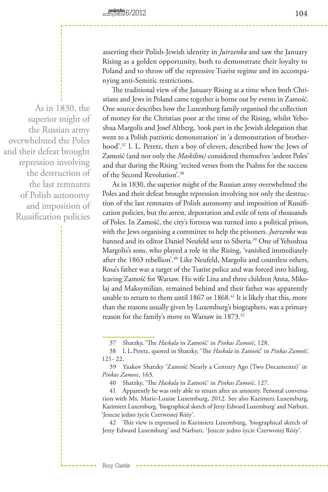asserting their Polish-Jewish identity in *Jutrzenka* and saw the January Rising as a golden opportunity, both to demonstrate their loyalty to Poland and to throw off the repressive Tsarist regime and its accompanying anti-Semitic restrictions.

The traditional view of the January Rising as a time when both Christians and Jews in Poland came together is borne out by events in Zamość. One source describes how the Luxemburg family organised the collection of money for the Christian poor at the time of the Rising, whilst Yehoshua Margolis and Josef Altberg, 'took part in the Jewish delegation that went to a Polish patriotic demonstration' in 'a demonstration of brotherhood'.37 I. L. Peretz, then a boy of eleven, described how the Jews of Zamość (and not only the *Maskilim)* considered themselves 'ardent Poles' and that during the Rising 'recited verses from the Psalms for the success of the Second Revolution'.38

As in 1830, the superior might of the Russian army overwhelmed the Poles and their defeat brought repression involving not only the destruction of the last remnants of Polish autonomy and imposition of Russification policies, but the arrest, deportation and exile of tens of thousands of Poles. In Zamość, the city's fortress was turned into a political prison, with the Jews organising a committee to help the prisoners. *Jutrzenka* was banned and its editor Daniel Neufeld sent to Siberia.<sup>39</sup> One of Yehoshua Margolis's sons, who played a role in the Rising, 'vanished immediately after the 1863 rebellion<sup>'.40</sup> Like Neufeld, Margolis and countless others, Rosa's father was a target of the Tsarist police and was forced into hiding, leaving Zamość for Warsaw. His wife Lina and three children Anna, Mikolaj and Maksymilian, remained behind and their father was apparently unable to return to them until 1867 or 1868.<sup>41</sup> It is likely that this, more than the reasons usually given by Luxemburg's biographers, was a primary reason for the family's move to Warsaw in 1873.<sup>42</sup>

Rory Castle

42 This view is expressed in Kazimierz Luxemburg, 'biographical sketch of Jerzy Edward Luxemburg' and Narbutt, 'Jeszcze jedno życie Czerwonej Róży'.

As in 1830, the superior might of the Russian army overwhelmed the Poles and their defeat brought repression involving the destruction of the last remnants of Polish autonomy and imposition of Russification policies

<sup>37</sup> Shatzky, 'The *Haskala* in Zamość' in *Pinkas Zamość*, 128.

<sup>38</sup> I. L. Peretz, quoted in Shatzky, 'The *Haskala* in Zamość' in *Pinkas Zamość*, 121- 22.

<sup>39</sup> Yaakov Shatzky 'Zamość Nearly a Century Ago (Two Documents)' in *Pinkas Zamosc,* 163.

<sup>40</sup> Shatzky, 'The *Haskala* in Zamość' in *Pinkas Zamość*, 127.

<sup>41</sup> Apparently he was only able to return after an amnesty. Personal conversation with Ms. Marie-Louise Luxemburg, 2012. See also Kazimerz Luxemburg, Kazimierz Luxemburg, 'biographical sketch of Jerzy Edward Luxemburg' and Narbutt, 'Jeszcze jedno życie Czerwonej Róży'.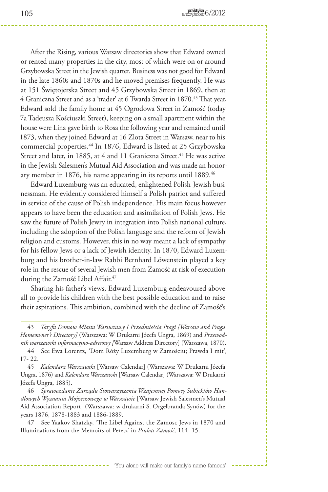After the Rising, various Warsaw directories show that Edward owned or rented many properties in the city, most of which were on or around Grzybowska Street in the Jewish quarter. Business was not good for Edward in the late 1860s and 1870s and he moved premises frequently. He was at 151 Świętojerska Street and 45 Grzybowska Street in 1869, then at 4 Graniczna Street and as a 'trader' at 6 Twarda Street in 1870.43 That year, Edward sold the family home at 45 Ogrodowa Street in Zamość (today 7a Tadeusza Kościuszki Street), keeping on a small apartment within the house were Lina gave birth to Rosa the following year and remained until 1873, when they joined Edward at 16 Zlota Street in Warsaw, near to his commercial properties.44 In 1876, Edward is listed at 25 Grzybowska Street and later, in 1885, at 4 and 11 Graniczna Street.<sup>45</sup> He was active in the Jewish Salesmen's Mutual Aid Association and was made an honorary member in 1876, his name appearing in its reports until 1889.<sup>46</sup>

Edward Luxemburg was an educated, enlightened Polish-Jewish businessman. He evidently considered himself a Polish patriot and suffered in service of the cause of Polish independence. His main focus however appears to have been the education and assimilation of Polish Jews. He saw the future of Polish Jewry in integration into Polish national culture, including the adoption of the Polish language and the reform of Jewish religion and customs. However, this in no way meant a lack of sympathy for his fellow Jews or a lack of Jewish identity. In 1870, Edward Luxemburg and his brother-in-law Rabbi Bernhard Löwenstein played a key role in the rescue of several Jewish men from Zamość at risk of execution during the Zamość Libel Affair.<sup>47</sup>

Sharing his father's views, Edward Luxemburg endeavoured above all to provide his children with the best possible education and to raise their aspirations. This ambition, combined with the decline of Zamość's

<sup>43</sup> *Taryfa Domow Miasta Warswzawy I Przedmieścia Pragi [Warsaw and Praga Homeowner's Directory]* (Warszawa: W Drukarni Józefa Ungra, 1869) and *Przewodnik warszawski informacyjno-adresowy [*Warsaw Address Directory] (Warszawa, 1870).

<sup>44</sup> See Ewa Lorentz, 'Dom Róży Luxemburg w Zamościu; Prawda I mit'*,*  17- 22.

<sup>45</sup> *Kalendarz Warszawski* [Warsaw Calendar] (Warszawa: W Drukarni Józefa Ungra, 1876) and *Kalendarz Warszawski* [Warsaw Calendar] (Warszawa: W Drukarni Józefa Ungra, 1885).

<sup>46</sup> *Sprawozdanie Zarządu Stowarzyszenia Wzajemnej Pomocy Subiektów Handlowych Wyznania Mojżeszowego w Warszawie* [Warsaw Jewish Salesmen's Mutual Aid Association Report] (Warszawa: w drukarni S. Orgelbranda Synów) for the years 1876, 1878-1883 and 1886-1889.

<sup>47</sup> See Yaakov Shatzky, 'The Libel Against the Zamosc Jews in 1870 and Illuminations from the Memoirs of Peretz' in *Pinkas Zamość,* 114- 15.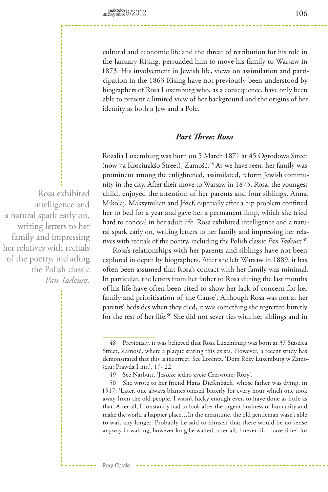cultural and economic life and the threat of retribution for his role in the January Rising, persuaded him to move his family to Warsaw in 1873. His involvement in Jewish life, views on assimilation and participation in the 1863 Rising have not previously been understood by biographers of Rosa Luxemburg who, as a consequence, have only been able to present a limited view of her background and the origins of her identity as both a Jew and a Pole.

### *Part Three: Rosa*

Rozalia Luxemburg was born on 5 March 1871 at 45 Ogrodowa Street (now 7a Kosciuzkśo Street), Zamość.<sup>48</sup> As we have seen, her family was prominent among the enlightened, assimilated, reform Jewish community in the city. After their move to Warsaw in 1873, Rosa, the youngest child, enjoyed the attention of her parents and four siblings, Anna, Mikolaj, Maksymilian and Józef, especially after a hip problem confined her to bed for a year and gave her a permanent limp, which she tried hard to conceal in her adult life. Rosa exhibited intelligence and a natural spark early on, writing letters to her family and impressing her relatives with recitals of the poetry, including the Polish classic *Pan Tadeusz.*<sup>49</sup>

Rosa's relationships with her parents and siblings have not been explored in depth by biographers. After she left Warsaw in 1889, it has often been assumed that Rosa's contact with her family was minimal. In particular, the letters from her father to Rosa during the last months of his life have often been cited to show her lack of concern for her family and prioritisation of 'the Cause'. Although Rosa was not at her parents' bedsides when they died, it was something she regretted bitterly for the rest of her life.<sup>50</sup> She did not sever ties with her siblings and in

Rosa exhibited intelligence and a natural spark early on, writing letters to her family and impressing her relatives with recitals of the poetry, including the Polish classic *Pan Tadeusz.*

<sup>48</sup> Previously, it was believed that Rosa Luxemburg was born at 37 Staszica Street, Zamość, where a plaque stating this exists. However, a recent study has demonstrated that this is incorrect. See Lorentz, 'Dom Róży Luxemburg w Zamościu; Prawda I mit', 17- 22.

<sup>49</sup> See Narbutt, 'Jeszcze jedno życie Czerwonej Róży'.

<sup>50</sup> She wrote to her friend Hans Diefenbach, whose father was dying, in 1917: 'Later, one always blames oneself bitterly for every hour which one took away from the old people. I wasn't lucky enough even to have done as little as that. After all, I constantly had to look after the urgent business of humanity and make the world a happier place…In the meantime, the old gentleman wasn't able to wait any longer. Probably he said to himself that there would be no sense anyway in waiting, however long he waited; after all, I never did "have time" for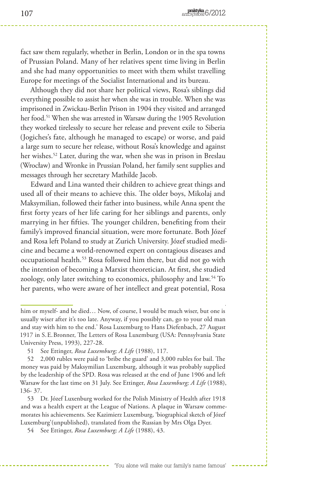fact saw them regularly, whether in Berlin, London or in the spa towns of Prussian Poland. Many of her relatives spent time living in Berlin and she had many opportunities to meet with them whilst travelling Europe for meetings of the Socialist International and its bureau.

Although they did not share her political views, Rosa's siblings did everything possible to assist her when she was in trouble. When she was imprisoned in Zwickau-Berlin Prison in 1904 they visited and arranged her food.<sup>51</sup> When she was arrested in Warsaw during the 1905 Revolution they worked tirelessly to secure her release and prevent exile to Siberia (Jogiches's fate, although he managed to escape) or worse, and paid a large sum to secure her release, without Rosa's knowledge and against her wishes.<sup>52</sup> Later, during the war, when she was in prison in Breslau (Wrocław) and Wronke in Prussian Poland, her family sent supplies and messages through her secretary Mathilde Jacob.

Edward and Lina wanted their children to achieve great things and used all of their means to achieve this. The older boys, Mikolaj and Maksymilian, followed their father into business, while Anna spent the first forty years of her life caring for her siblings and parents, only marrying in her fifties. The younger children, benefiting from their family's improved financial situation, were more fortunate. Both Józef and Rosa left Poland to study at Zurich University. Józef studied medicine and became a world-renowned expert on contagious diseases and occupational health.53 Rosa followed him there, but did not go with the intention of becoming a Marxist theoretician. At first, she studied zoology, only later switching to economics, philosophy and law.<sup>54</sup> To her parents, who were aware of her intellect and great potential, Rosa

him or myself- and he died... Now, of course, I would be much wiser, but one is usually wiser after it's too late. Anyway, if you possibly can, go to your old man and stay with him to the end.' Rosa Luxemburg to Hans Diefenbach, 27 August 1917 in S. E. Bronner, The Letters of Rosa Luxemburg (USA: Pennsylvania State University Press, 1993), 227-28.

<sup>51</sup> See Ettinger, *Rosa Luxemburg; A Life* (1988), 117.

<sup>52</sup> 2,000 rubles were paid to 'bribe the guard' and 3,000 rubles for bail. The money was paid by Maksymilian Luxemburg, although it was probably supplied by the leadership of the SPD. Rosa was released at the end of June 1906 and left Warsaw for the last time on 31 July. See Ettinger, *Rosa Luxemburg; A Life* (1988), 136- 37.

<sup>53</sup> Dr. Józef Luxenburg worked for the Polish Ministry of Health after 1918 and was a health expert at the League of Nations. A plaque in Warsaw commemorates his achievements. See Kazimierz Luxemburg, 'biographical sketch of Józef Luxemburg'(unpublished), translated from the Russian by Mrs Olga Dyer.

<sup>54</sup> See Ettinger, *Rosa Luxemburg; A Life* (1988), 43.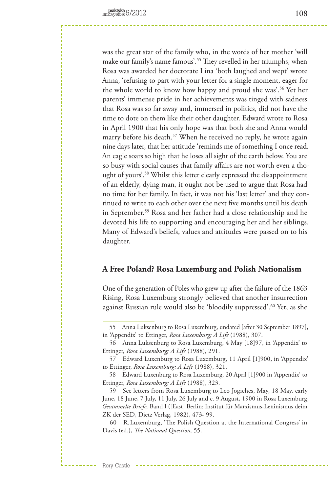was the great star of the family who, in the words of her mother 'will make our family's name famous'.55 They revelled in her triumphs, when Rosa was awarded her doctorate Lina 'both laughed and wept' wrote Anna, 'refusing to part with your letter for a single moment, eager for the whole world to know how happy and proud she was'.56 Yet her parents' immense pride in her achievements was tinged with sadness that Rosa was so far away and, immersed in politics, did not have the time to dote on them like their other daughter. Edward wrote to Rosa in April 1900 that his only hope was that both she and Anna would marry before his death.<sup>57</sup> When he received no reply, he wrote again nine days later, that her attitude 'reminds me of something I once read. An eagle soars so high that he loses all sight of the earth below. You are so busy with social causes that family affairs are not worth even a thought of yours'.58 Whilst this letter clearly expressed the disappointment of an elderly, dying man, it ought not be used to argue that Rosa had no time for her family. In fact, it was not his 'last letter' and they continued to write to each other over the next five months until his death in September.59 Rosa and her father had a close relationship and he devoted his life to supporting and encouraging her and her siblings. Many of Edward's beliefs, values and attitudes were passed on to his daughter.

#### **A Free Poland? Rosa Luxemburg and Polish Nationalism**

One of the generation of Poles who grew up after the failure of the 1863 Rising, Rosa Luxemburg strongly believed that another insurrection against Russian rule would also be 'bloodily suppressed'.60 Yet, as she

<sup>55</sup> Anna Luksenburg to Rosa Luxemburg, undated [after 30 September 1897], in 'Appendix' to Ettinger, *Rosa Luxemburg; A Life* (1988), 307.

<sup>56</sup> Anna Luksenburg to Rosa Luxemburg, 4 May [18]97, in 'Appendix' to Ettinger, *Rosa Luxemburg; A Life* (1988), 291.

<sup>57</sup> Edward Luxenburg to Rosa Luxemburg, 11 April [1]900, in 'Appendix' to Ettinger, *Rosa Luxemburg; A Life* (1988), 321.

<sup>58</sup> Edward Luxenburg to Rosa Luxemburg, 20 April [1]900 in 'Appendix' to Ettinger, *Rosa Luxemburg; A Life* (1988), 323.

<sup>59</sup> See letters from Rosa Luxemburg to Leo Jogiches, May, 18 May, early June, 18 June, 7 July, 11 July, 26 July and c. 9 August, 1900 in Rosa Luxemburg, *Gesammelte Briefe,* Band I ([East] Berlin: Institut für Marxismus-Leninismus deim ZK der SED, Dietz Verlag, 1982), 473- 99.

<sup>60</sup> R. Luxemburg, 'The Polish Question at the International Congress' in Davis (ed.), *The National Question,* 55.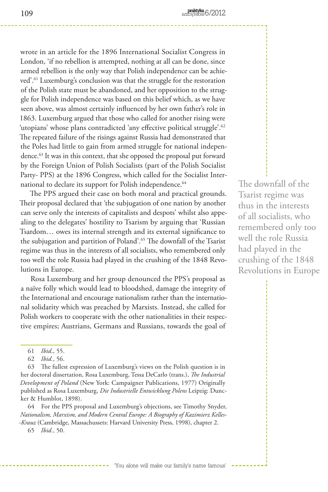wrote in an article for the 1896 International Socialist Congress in London, 'if no rebellion is attempted, nothing at all can be done, since armed rebellion is the only way that Polish independence can be achieved'.61 Luxemburg's conclusion was that the struggle for the restoration of the Polish state must be abandoned, and her opposition to the struggle for Polish independence was based on this belief which, as we have seen above, was almost certainly influenced by her own father's role in 1863. Luxemburg argued that those who called for another rising were 'utopians' whose plans contradicted 'any effective political struggle'.<sup>62</sup> The repeated failure of the risings against Russia had demonstrated that the Poles had little to gain from armed struggle for national independence.63 It was in this context, that she opposed the proposal put forward by the Foreign Union of Polish Socialists (part of the Polish Socialist Party- PPS) at the 1896 Congress, which called for the Socialist International to declare its support for Polish independence.<sup>64</sup>

The PPS argued their case on both moral and practical grounds. Their proposal declared that 'the subjugation of one nation by another can serve only the interests of capitalists and despots' whilst also appealing to the delegates' hostility to Tsarism by arguing that 'Russian Tsardom… owes its internal strength and its external significance to the subjugation and partition of Poland'.<sup>65</sup> The downfall of the Tsarist regime was thus in the interests of all socialists, who remembered only too well the role Russia had played in the crushing of the 1848 Revolutions in Europe.

Rosa Luxemburg and her group denounced the PPS's proposal as a naïve folly which would lead to bloodshed, damage the integrity of the International and encourage nationalism rather than the international solidarity which was preached by Marxists. Instead, she called for Polish workers to cooperate with the other nationalities in their respective empires; Austrians, Germans and Russians, towards the goal of

63 The fullest expression of Luxemburg's views on the Polish question is in her doctoral dissertation, Rosa Luxemburg, Tessa DeCarlo (trans.), *The Industrial Development of Poland* (New York: Campaigner Publications, 1977) Originally published as Rosa Luxemburg, *Die Industrielle Entwicklung Polens* Leipzig: Duncker & Humblot, 1898).

64 For the PPS proposal and Luxemburg's objections, see Timothy Snyder, *Nationalism, Marxism, and Modern Central Europe: A Biography of Kazimierz Kelles- -Krauz* (Cambridge, Massachussets: Harvard University Press, 1998), chapter 2.

65 *Ibid.*, 50.

The downfall of the Tsarist regime was thus in the interests of all socialists, who remembered only too well the role Russia had played in the crushing of the 1848 Revolutions in Europe

<sup>61</sup> *Ibid*., 55.

<sup>62</sup> *Ibid.*, 56.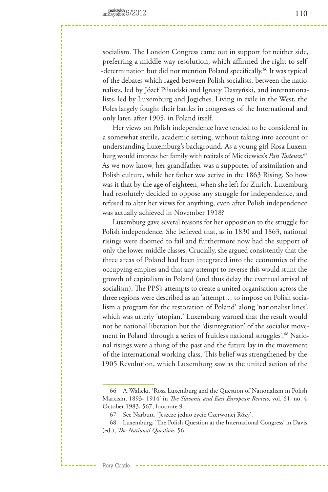socialism. The London Congress came out in support for neither side, preferring a middle-way resolution, which affirmed the right to self- -determination but did not mention Poland specifically.<sup>66</sup> It was typical of the debates which raged between Polish socialists, between the nationalists, led by Józef Piłsudski and Ignacy Daszyński, and internationalists, led by Luxemburg and Jogiches. Living in exile in the West, the Poles largely fought their battles in congresses of the International and only later, after 1905, in Poland itself.

Her views on Polish independence have tended to be considered in a somewhat sterile, academic setting, without taking into account or understanding Luxemburg's background. As a young girl Rosa Luxemburg would impress her family with recitals of Mickiewicz's *Pan Tadeusz.*<sup>67</sup> As we now know, her grandfather was a supporter of assimilation and Polish culture, while her father was active in the 1863 Rising. So how was it that by the age of eighteen, when she left for Zurich, Luxemburg had resolutely decided to oppose any struggle for independence, and refused to alter her views for anything, even after Polish independence was actually achieved in November 1918?

Luxemburg gave several reasons for her opposition to the struggle for Polish independence. She believed that, as in 1830 and 1863, national risings were doomed to fail and furthermore now had the support of only the lower-middle classes. Crucially, she argued consistently that the three areas of Poland had been integrated into the economies of the occupying empires and that any attempt to reverse this would stunt the growth of capitalism in Poland (and thus delay the eventual arrival of socialism). The PPS's attempts to create a united organisation across the three regions were described as an 'attempt… to impose on Polish socialism a program for the restoration of Poland' along 'nationalist lines', which was utterly 'utopian.' Luxemburg warned that the result would not be national liberation but the 'disintegration' of the socialist movement in Poland 'through a series of fruitless national struggles'.<sup>68</sup> National risings were a thing of the past and the future lay in the movement of the international working class. This belief was strengthened by the 1905 Revolution, which Luxemburg saw as the united action of the

<sup>66</sup> A. Walicki, 'Rosa Luxemburg and the Question of Nationalism in Polish Marxism, 1893- 1914' in *The Slavonic and East European Review,* vol. 61, no. 4, October 1983, 567, footnote 9.

<sup>67</sup> See Narbutt, 'Jeszcze jedno życie Czerwonej Róży'.

<sup>68</sup> Luxemburg, 'The Polish Question at the International Congress' in Davis (ed.), *The National Question*, 56.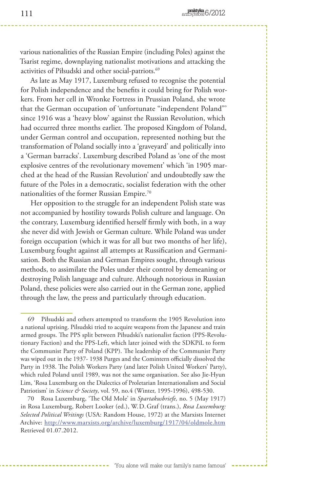various nationalities of the Russian Empire (including Poles) against the Tsarist regime, downplaying nationalist motivations and attacking the activities of Piłsudski and other social-patriots.<sup>69</sup>

As late as May 1917, Luxemburg refused to recognise the potential for Polish independence and the benefits it could bring for Polish workers. From her cell in Wronke Fortress in Prussian Poland, she wrote that the German occupation of 'unfortunate "independent Poland"' since 1916 was a 'heavy blow' against the Russian Revolution, which had occurred three months earlier. The proposed Kingdom of Poland, under German control and occupation, represented nothing but the transformation of Poland socially into a 'graveyard' and politically into a 'German barracks'. Luxemburg described Poland as 'one of the most explosive centres of the revolutionary movement' which 'in 1905 marched at the head of the Russian Revolution' and undoubtedly saw the future of the Poles in a democratic, socialist federation with the other nationalities of the former Russian Empire.<sup>70</sup>

Her opposition to the struggle for an independent Polish state was not accompanied by hostility towards Polish culture and language. On the contrary, Luxemburg identified herself firmly with both, in a way she never did with Jewish or German culture. While Poland was under foreign occupation (which it was for all but two months of her life), Luxemburg fought against all attempts at Russification and Germanisation. Both the Russian and German Empires sought, through various methods, to assimilate the Poles under their control by demeaning or destroying Polish language and culture. Although notorious in Russian Poland, these policies were also carried out in the German zone, applied through the law, the press and particularly through education.

<sup>69</sup> Piłsudski and others attempted to transform the 1905 Revolution into a national uprising. Pilsudski tried to acquire weapons from the Japanese and train armed groups. The PPS split between Piłsudski's nationalist faction (PPS-Revolutionary Faction) and the PPS-Left, which later joined with the SDKPiL to form the Communist Party of Poland (KPP). The leadership of the Communist Party was wiped out in the 1937- 1938 Purges and the Comintern officially dissolved the Party in 1938. The Polish Workers Party (and later Polish United Workers' Party), which ruled Poland until 1989, was not the same organisation. See also Jie-Hyun Lim, 'Rosa Luxemburg on the Dialectics of Proletarian Internationalism and Social Patriotism' in *Science & Society*, vol. 59, no.4 (Winter, 1995-1996), 498-530.

<sup>70</sup> Rosa Luxemburg, 'The Old Mole' in *Spartakusbriefe,* no. 5 (May 1917) in Rosa Luxemburg, Robert Looker (ed.), W. D. Graf (trans.), *Rosa Luxemburg: Selected Political Writings* (USA: Random House, 1972) at the Marxists Internet Archive: http://www.marxists.org/archive/luxemburg/1917/04/oldmole.htm Retrieved 01.07.2012.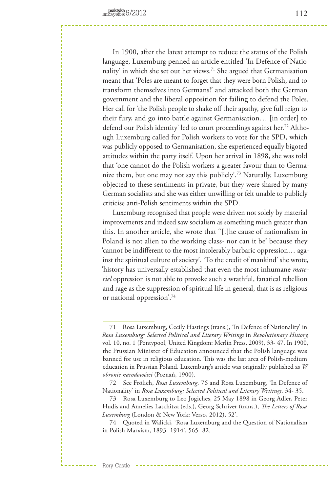In 1900, after the latest attempt to reduce the status of the Polish language, Luxemburg penned an article entitled 'In Defence of Nationality' in which she set out her views.<sup>71</sup> She argued that Germanisation meant that 'Poles are meant to forget that they were born Polish, and to transform themselves into Germans!' and attacked both the German government and the liberal opposition for failing to defend the Poles. Her call for 'the Polish people to shake off their apathy, give full reign to their fury, and go into battle against Germanisation… [in order] to defend our Polish identity' led to court proceedings against her.<sup>72</sup> Although Luxemburg called for Polish workers to vote for the SPD, which was publicly opposed to Germanisation, she experienced equally bigoted attitudes within the party itself. Upon her arrival in 1898, she was told that 'one cannot do the Polish workers a greater favour than to Germanize them, but one may not say this publicly<sup>7,3</sup> Naturally, Luxemburg objected to these sentiments in private, but they were shared by many German socialists and she was either unwilling or felt unable to publicly criticise anti-Polish sentiments within the SPD.

Luxemburg recognised that people were driven not solely by material improvements and indeed saw socialism as something much greater than this. In another article, she wrote that ''[t]he cause of nationalism in Poland is not alien to the working class- nor can it be' because they 'cannot be indifferent to the most intolerably barbaric oppression… against the spiritual culture of society'. 'To the credit of mankind' she wrote, 'history has universally established that even the most inhumane *materiel* oppression is not able to provoke such a wrathful, fanatical rebellion and rage as the suppression of spiritual life in general, that is as religious or national oppression'.74

<sup>71</sup> Rosa Luxemburg, Cecily Hastings (trans.), 'In Defence of Nationality' in *Rosa Luxemburg: Selected Political and Literary Writings* in *Revolutionary History,*  vol. 10, no. 1 (Pontypool, United Kingdom: Merlin Press, 2009), 33- 47. In 1900, the Prussian Minister of Education announced that the Polish language was banned for use in religious education. This was the last area of Polish-medium education in Prussian Poland. Luxemburg's article was originally published as *W obronie narodowósci* (Poznań, 1900).

<sup>72</sup> See Frölich, *Rosa Luxemburg,* 76 and Rosa Luxemburg, 'In Defence of Nationality' in *Rosa Luxemburg: Selected Political and Literary Writings,* 34- 35.

<sup>73</sup> Rosa Luxemburg to Leo Jogiches, 25 May 1898 in Georg Adler, Peter Hudis and Annelies Laschitza (eds.), Georg Schriver (trans.), *The Letters of Rosa Luxemburg* (London & New York: Verso, 2012), 52'.

<sup>74</sup> Quoted in Walicki, 'Rosa Luxemburg and the Question of Nationalism in Polish Marxism, 1893- 1914', 565- 82.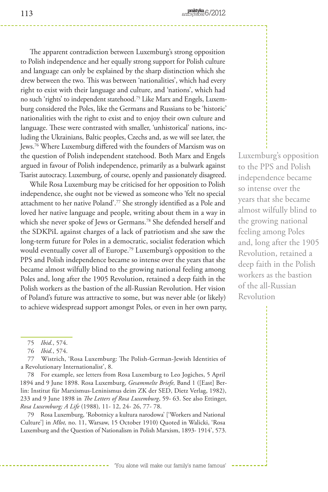The apparent contradiction between Luxemburg's strong opposition to Polish independence and her equally strong support for Polish culture and language can only be explained by the sharp distinction which she drew between the two. This was between 'nationalities', which had every right to exist with their language and culture, and 'nations', which had no such 'rights' to independent statehood.75 Like Marx and Engels, Luxemburg considered the Poles, like the Germans and Russians to be 'historic' nationalities with the right to exist and to enjoy their own culture and language. These were contrasted with smaller, 'unhistorical' nations, including the Ukrainians, Baltic peoples, Czechs and, as we will see later, the Jews.76 Where Luxemburg differed with the founders of Marxism was on the question of Polish independent statehood. Both Marx and Engels argued in favour of Polish independence, primarily as a bulwark against Tsarist autocracy. Luxemburg, of course, openly and passionately disagreed.

While Rosa Luxemburg may be criticised for her opposition to Polish independence, she ought not be viewed as someone who 'felt no special attachment to her native Poland'.77 She strongly identified as a Pole and loved her native language and people, writing about them in a way in which she never spoke of Jews or Germans.<sup>78</sup> She defended herself and the SDKPiL against charges of a lack of patriotism and she saw the long-term future for Poles in a democratic, socialist federation which would eventually cover all of Europe.<sup>79</sup> Luxemburg's opposition to the PPS and Polish independence became so intense over the years that she became almost wilfully blind to the growing national feeling among Poles and, long after the 1905 Revolution, retained a deep faith in the Polish workers as the bastion of the all-Russian Revolution. Her vision of Poland's future was attractive to some, but was never able (or likely) to achieve widespread support amongst Poles, or even in her own party,

77 Wistrich, 'Rosa Luxemburg: The Polish-German-Jewish Identities of a Revolutionary Internationalist', 8.

78 For example, see letters from Rosa Luxemburg to Leo Jogiches, 5 April 1894 and 9 June 1898. Rosa Luxemburg, *Gesammelte Briefe,* Band 1 ([East] Berlin: Institut für Marxismus-Leninismus deim ZK der SED, Dietz Verlag, 1982), 233 and 9 June 1898 in *The Letters of Rosa Luxemburg*, 59- 63. See also Ettinger, *Rosa Luxemburg; A Life* (1988)*,* 11- 12, 24- 26, 77- 78.

79 Rosa Luxemburg, 'Robotnicy a kultura narodowa' ['Workers and National Culture'] in *Młot,* no. 11, Warsaw, 15 October 1910) Quoted in Walicki, 'Rosa Luxemburg and the Question of Nationalism in Polish Marxism, 1893- 1914', 573.

Luxemburg's opposition to the PPS and Polish independence became so intense over the years that she became almost wilfully blind to the growing national feeling among Poles and, long after the 1905 Revolution, retained a deep faith in the Polish workers as the bastion of the all-Russian Revolution

<sup>75</sup> *Ibid.*, 574.

<sup>76</sup> *Ibid.*, 574.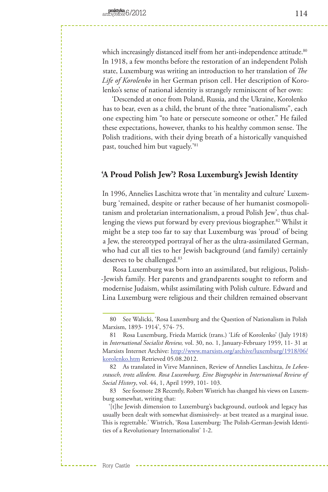which increasingly distanced itself from her anti-independence attitude.<sup>80</sup> In 1918, a few months before the restoration of an independent Polish state, Luxemburg was writing an introduction to her translation of *The Life of Korolenko* in her German prison cell. Her description of Korolenko's sense of national identity is strangely reminiscent of her own:

'Descended at once from Poland, Russia, and the Ukraine, Korolenko has to bear, even as a child, the brunt of the three "nationalisms", each one expecting him "to hate or persecute someone or other." He failed these expectations, however, thanks to his healthy common sense. The Polish traditions, with their dying breath of a historically vanquished past, touched him but vaguely.'81

#### **'A Proud Polish Jew'? Rosa Luxemburg's Jewish Identity**

In 1996, Annelies Laschitza wrote that 'in mentality and culture' Luxemburg 'remained, despite or rather because of her humanist cosmopolitanism and proletarian internationalism, a proud Polish Jew', thus challenging the views put forward by every previous biographer.<sup>82</sup> Whilst it might be a step too far to say that Luxemburg was 'proud' of being a Jew, the stereotyped portrayal of her as the ultra-assimilated German, who had cut all ties to her Jewish background (and family) certainly deserves to be challenged.<sup>83</sup>

Rosa Luxemburg was born into an assimilated, but religious, Polish- -Jewish family. Her parents and grandparents sought to reform and modernise Judaism, whilst assimilating with Polish culture. Edward and Lina Luxemburg were religious and their children remained observant

<sup>80</sup> See Walicki, 'Rosa Luxemburg and the Question of Nationalism in Polish Marxism, 1893- 1914', 574- 75.

<sup>81</sup> Rosa Luxemburg, Frieda Mattick (trans.) 'Life of Korolenko' (July 1918) in *International Socialist Review,* vol. 30, no. 1, January-February 1959, 11- 31 at Marxists Internet Archive: http://www.marxists.org/archive/luxemburg/1918/06/ korolenko.htm Retrieved 05.08.2012.

<sup>82</sup> As translated in Virve Manninen, Review of Annelies Laschitza, *In Lebensrausch, trotz alledem. Rosa Luxemburg, Eine Biographie* in *International Review of Social History*, vol. 44, 1, April 1999, 101- 103.

<sup>83</sup> See footnote 28 Recently, Robert Wistrich has changed his views on Luxemburg somewhat, writing that:

<sup>&#</sup>x27;[t]he Jewish dimension to Luxemburg's background, outlook and legacy has usually been dealt with somewhat dismissively- at best treated as a marginal issue. This is regrettable.' Wistrich, 'Rosa Luxemburg: The Polish-German-Jewish Identities of a Revolutionary Internationalist' 1-2.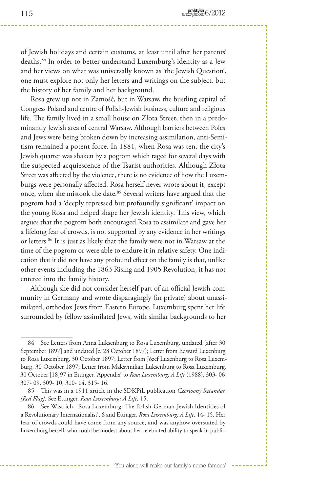of Jewish holidays and certain customs, at least until after her parents' deaths.84 In order to better understand Luxemburg's identity as a Jew and her views on what was universally known as 'the Jewish Question', one must explore not only her letters and writings on the subject, but the history of her family and her background.

Rosa grew up not in Zamość, but in Warsaw, the bustling capital of Congress Poland and centre of Polish-Jewish business, culture and religious life. The family lived in a small house on Złota Street, then in a predominantly Jewish area of central Warsaw. Although barriers between Poles and Jews were being broken down by increasing assimilation, anti-Semitism remained a potent force. In 1881, when Rosa was ten, the city's Jewish quarter was shaken by a pogrom which raged for several days with the suspected acquiescence of the Tsarist authorities. Although Złota Street was affected by the violence, there is no evidence of how the Luxemburgs were personally affected. Rosa herself never wrote about it, except once, when she mistook the date.85 Several writers have argued that the pogrom had a 'deeply repressed but profoundly significant' impact on the young Rosa and helped shape her Jewish identity. This view, which argues that the pogrom both encouraged Rosa to assimilate and gave her a lifelong fear of crowds, is not supported by any evidence in her writings or letters.86 It is just as likely that the family were not in Warsaw at the time of the pogrom or were able to endure it in relative safety. One indication that it did not have any profound effect on the family is that, unlike other events including the 1863 Rising and 1905 Revolution, it has not entered into the family history.

Although she did not consider herself part of an official Jewish community in Germany and wrote disparagingly (in private) about unassimilated, orthodox Jews from Eastern Europe, Luxemburg spent her life surrounded by fellow assimilated Jews, with similar backgrounds to her

<sup>84</sup> See Letters from Anna Luksenburg to Rosa Luxemburg, undated [after 30 September 1897] and undated [c. 28 October 1897]; Letter from Edward Luxenburg to Rosa Luxemburg, 30 October 1897; Letter from Józef Luxenburg to Rosa Luxemburg, 30 October 1897; Letter from Maksymilian Luksenburg to Rosa Luxemburg, 30 October [18]97 in Ettinger, 'Appendix' to *Rosa Luxemburg; A Life* (1988)*,* 303- 06, 307- 09, 309- 10, 310- 14, 315- 16.

<sup>85</sup> This was in a 1911 article in the SDKPiL publication *Czerwony Sztandar [Red Flag].* See Ettinger, *Rosa Luxemburg; A Life,* 15.

<sup>86</sup> See Wistrich, 'Rosa Luxemburg: The Polish-German-Jewish Identities of a Revolutionary Internationalist', 6 and Ettinger, *Rosa Luxemburg; A Life,* 14- 15. Her fear of crowds could have come from any source, and was anyhow overstated by Luxemburg herself, who could be modest about her celebrated ability to speak in public.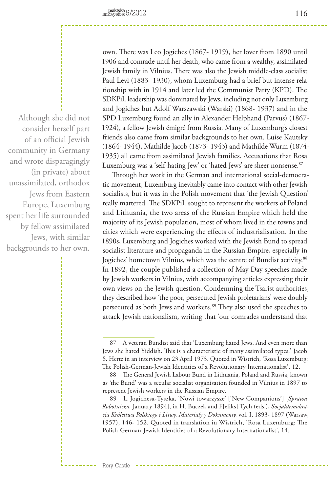Although she did not consider herself part of an official Jewish community in Germany and wrote disparagingly (in private) about unassimilated, orthodox Jews from Eastern Europe, Luxemburg spent her life surrounded by fellow assimilated Jews, with similar backgrounds to her own.

own. There was Leo Jogiches (1867- 1919), her lover from 1890 until 1906 and comrade until her death, who came from a wealthy, assimilated Jewish family in Vilnius. There was also the Jewish middle-class socialist Paul Levi (1883- 1930), whom Luxemburg had a brief but intense relationship with in 1914 and later led the Communist Party (KPD). The SDKPiL leadership was dominated by Jews, including not only Luxemburg and Jogiches but Adolf Warszawski (Warski) (1868- 1937) and in the SPD Luxemburg found an ally in Alexander Helphand (Parvus) (1867- 1924), a fellow Jewish émigré from Russia. Many of Luxemburg's closest friends also came from similar backgrounds to her own. Luise Kautsky (1864- 1944), Mathilde Jacob (1873- 1943) and Mathilde Wurm (1874- 1935) all came from assimilated Jewish families. Accusations that Rosa Luxemburg was a 'self-hating Jew' or 'hated Jews' are sheer nonsense.<sup>87</sup>

Through her work in the German and international social-democratic movement, Luxemburg inevitably came into contact with other Jewish socialists, but it was in the Polish movement that 'the Jewish Question' really mattered. The SDKPiL sought to represent the workers of Poland and Lithuania, the two areas of the Russian Empire which held the majority of its Jewish population, most of whom lived in the towns and cities which were experiencing the effects of industrialisation. In the 1890s, Luxemburg and Jogiches worked with the Jewish Bund to spread socialist literature and propaganda in the Russian Empire, especially in Jogiches' hometown Vilnius, which was the centre of Bundist activity.<sup>88</sup> In 1892, the couple published a collection of May Day speeches made by Jewish workers in Vilnius, with accompanying articles expressing their own views on the Jewish question. Condemning the Tsarist authorities, they described how 'the poor, persecuted Jewish proletarians' were doubly persecuted as both Jews and workers.<sup>89</sup> They also used the speeches to attack Jewish nationalism, writing that 'our comrades understand that

<sup>87</sup> A veteran Bundist said that 'Luxemburg hated Jews. And even more than Jews she hated Yiddish. This is a characteristic of many assimilated types.' Jacob S. Hertz in an interview on 23 April 1973. Quoted in Wistrich, 'Rosa Luxemburg: The Polish-German-Jewish Identities of a Revolutionary Internationalist', 12.

<sup>88</sup> The General Jewish Labour Bund in Lithuania, Poland and Russia, known as 'the Bund' was a secular socialist organisation founded in Vilnius in 1897 to represent Jewish workers in the Russian Empire.

<sup>89</sup> L. Jogichesa-Tyszka, 'Nowi towarzysze' ['New Companions'] [*Sprawa Robotnicza,* January 1894], in H. Buczek and F[eliks] Tych (eds.), *Socjaldemokracja Królestwa Polskiego i Litwy. Materialy y Dokumenty,* vol. I, 1893- 1897 (Warsaw, 1957), 146- 152. Quoted in translation in Wistrich, 'Rosa Luxemburg: The Polish-German-Jewish Identities of a Revolutionary Internationalist', 14.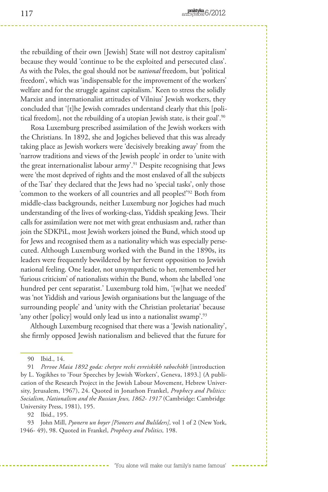the rebuilding of their own [Jewish] State will not destroy capitalism' because they would 'continue to be the exploited and persecuted class'. As with the Poles, the goal should not be *national* freedom, but 'political freedom', which was 'indispensable for the improvement of the workers' welfare and for the struggle against capitalism.' Keen to stress the solidly Marxist and internationalist attitudes of Vilnius' Jewish workers, they concluded that '[t]he Jewish comrades understand clearly that this [political freedom], not the rebuilding of a utopian Jewish state, is their goal'.90

Rosa Luxemburg prescribed assimilation of the Jewish workers with the Christians. In 1892, she and Jogiches believed that this was already taking place as Jewish workers were 'decisively breaking away' from the 'narrow traditions and views of the Jewish people' in order to 'unite with the great internationalist labour army'.91 Despite recognising that Jews were 'the most deprived of rights and the most enslaved of all the subjects of the Tsar' they declared that the Jews had no 'special tasks', only those 'common to the workers of all countries and all peoples!'92 Both from middle-class backgrounds, neither Luxemburg nor Jogiches had much understanding of the lives of working-class, Yiddish speaking Jews. Their calls for assimilation were not met with great enthusiasm and, rather than join the SDKPiL, most Jewish workers joined the Bund, which stood up for Jews and recognised them as a nationality which was especially persecuted. Although Luxemburg worked with the Bund in the 1890s, its leaders were frequently bewildered by her fervent opposition to Jewish national feeling. One leader, not unsympathetic to her, remembered her 'furious criticism' of nationalists within the Bund, whom she labelled 'one hundred per cent separatist.' Luxemburg told him, '[w]hat we needed' was 'not Yiddish and various Jewish organisations but the language of the surrounding people' and 'unity with the Christian proletariat' because 'any other [policy] would only lead us into a nationalist swamp'.93

Although Luxemburg recognised that there was a 'Jewish nationality', she firmly opposed Jewish nationalism and believed that the future for

92 Ibid., 195.

93 John Mill, *Pyonern un boyer [Pioneers and Bulilders],* vol 1 of 2 (New York, 1946- 49), 98. Quoted in Frankel, *Prophecy and Politics,* 198.

<sup>90</sup> Ibid., 14.

<sup>91</sup> *Pervoe Maia 1892 goda: chetyre rechi evreiskikh rabochikh* [introduction by L. Yogikhes to 'Four Speeches by Jewish Workers', Geneva, 1893.] (A publication of the Research Project in the Jewish Labour Movement, Hebrew University, Jerusalem, 1967), 24. Quoted in Jonathon Frankel, *Prophecy and Politics: Socialism, Nationalism and the Russian Jews, 1862- 1917* (Cambridge: Cambridge University Press, 1981), 195.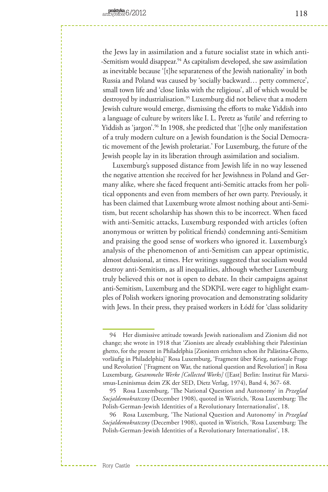the Jews lay in assimilation and a future socialist state in which anti- -Semitism would disappear.<sup>94</sup> As capitalism developed, she saw assimilation as inevitable because '[t]he separateness of the Jewish nationality' in both Russia and Poland was caused by 'socially backward… petty commerce', small town life and 'close links with the religious', all of which would be destroyed by industrialisation.<sup>95</sup> Luxemburg did not believe that a modern Jewish culture would emerge, dismissing the efforts to make Yiddish into a language of culture by writers like I. L. Peretz as 'futile' and referring to Yiddish as 'jargon'.<sup>96</sup> In 1908, she predicted that '[t]he only manifestation of a truly modern culture on a Jewish foundation is the Social Democratic movement of the Jewish proletariat.' For Luxemburg, the future of the Jewish people lay in its liberation through assimilation and socialism.

Luxemburg's supposed distance from Jewish life in no way lessened the negative attention she received for her Jewishness in Poland and Germany alike, where she faced frequent anti-Semitic attacks from her political opponents and even from members of her own party. Previously, it has been claimed that Luxemburg wrote almost nothing about anti-Semitism, but recent scholarship has shown this to be incorrect. When faced with anti-Semitic attacks, Luxemburg responded with articles (often anonymous or written by political friends) condemning anti-Semitism and praising the good sense of workers who ignored it. Luxemburg's analysis of the phenomenon of anti-Semitism can appear optimistic, almost delusional, at times. Her writings suggested that socialism would destroy anti-Semitism, as all inequalities, although whether Luxemburg truly believed this or not is open to debate. In their campaigns against anti-Semitism, Luxemburg and the SDKPiL were eager to highlight examples of Polish workers ignoring provocation and demonstrating solidarity with Jews. In their press, they praised workers in Łódź for 'class solidarity

<sup>94</sup> Her dismissive attitude towards Jewish nationalism and Zionism did not change; she wrote in 1918 that 'Zionists are already establishing their Palestinian ghetto, for the present in Philadelphia [Zionisten errichten schon ihr Palästina-Ghetto, vorläufig in Philadelphia]' Rosa Luxemburg, 'Fragment über Krieg, nationale Frage und Revolution' ['Fragment on War, the national question and Revolution'] in Rosa Luxemburg, *Gesammelte Werke [Collected Works]* ([East] Berlin: Institut für Marxismus-Leninismus deim ZK der SED, Dietz Verlag, 1974), Band 4, 367- 68.

<sup>95</sup> Rosa Luxemburg, 'The National Question and Autonomy' in *Przeglad Socjaldemokratczny* (December 1908), quoted in Wistrich, 'Rosa Luxemburg: The Polish-German-Jewish Identities of a Revolutionary Internationalist', 18.

<sup>96</sup> Rosa Luxemburg, 'The National Question and Autonomy' in *Przeglad Socjaldemokratczny* (December 1908), quoted in Wistrich, 'Rosa Luxemburg: The Polish-German-Jewish Identities of a Revolutionary Internationalist', 18.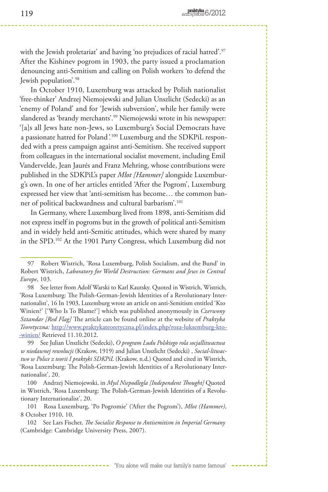with the Jewish proletariat' and having 'no prejudices of racial hatred'.<sup>97</sup> After the Kishinev pogrom in 1903, the party issued a proclamation denouncing anti-Semitism and calling on Polish workers 'to defend the Jewish population'.98

In October 1910, Luxemburg was attacked by Polish nationalist 'free-thinker' Andrzej Niemojewski and Julian Unszlicht (Sedecki) as an 'enemy of Poland' and for 'Jewish subversion', while her family were slandered as 'brandy merchants'.99 Niemojewski wrote in his newspaper: '[a]s all Jews hate non-Jews, so Luxemburg's Social Democrats have a passionate hatred for Poland*'.*100 Luxemburg and the SDKPiL responded with a press campaign against anti-Semitism. She received support from colleagues in the international socialist movement, including Emil Vandervelde, Jean Jaurés and Franz Mehring, whose contributions were published in the SDKPiL's paper *Młot [Hammer]* alongside Luxemburg's own. In one of her articles entitled 'After the Pogrom', Luxemburg expressed her view that 'anti-semitism has become… the common banner of political backwardness and cultural barbarism'.101

In Germany, where Luxemburg lived from 1898, anti-Semitism did not express itself in pogroms but in the growth of political anti-Semitism and in widely held anti-Semitic attitudes, which were shared by many in the SPD.102 At the 1901 Party Congress, which Luxemburg did not

<sup>97</sup> Robert Wistrich, 'Rosa Luxemburg, Polish Socialism, and the Bund' in Robert Wistrich, *Laboratory for World Destruction: Germans and Jews in Central Europe*, 103.

<sup>98</sup> See letter from Adolf Warski to Karl Kautsky. Quoted in Wistrich, Wistrich, 'Rosa Luxemburg: The Polish-German-Jewish Identities of a Revolutionary Internationalist', 16 In 1903, Luxemburg wrote an article on anti-Semitism entitled 'Kto Winien?' ['Who Is To Blame?'] which was published anonymously in *Czerwony Sztandar [Red Flag]* The article can be found online at the website of *Praktyka Teoretyczna:* http://www.praktykateoretyczna.pl/index.php/roza-luksemburg-kto- -winien/ Retrieved 11.10.2012.

<sup>99</sup> See Julian Unszlicht (Sedecki), *O program Ludu Polskiego rola socjallitwactwa w niedawnej rewolucji* (Krakow, 1919) and Julian Unszlicht (Sedecki) , *Social-litwactwo w Polsce z teorii I praktyki SDKPiL* (Krakow, n.d.) Quoted and cited in Wistrich, 'Rosa Luxemburg: The Polish-German-Jewish Identities of a Revolutionary Internationalist', 20.

<sup>100</sup> Andrzej Niemojewski, in *Mysl Niepodlegla [Independent Thought]* Quoted in Wistrich, 'Rosa Luxemburg: The Polish-German-Jewish Identities of a Revolutionary Internationalist', 20.

<sup>101</sup> Rosa Luxemburg, 'Po Pogromie' ('After the Pogrom'), *Młot (Hammer),*  8 October 1910, 10.

<sup>102</sup> See Lars Fischer, *The Socialist Response to Antisemitism in Imperial Germany*  (Cambridge: Cambridge University Press, 2007).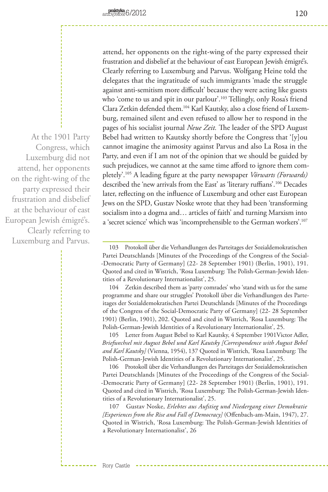At the 1901 Party Congress, which Luxemburg did not attend, her opponents on the right-wing of the party expressed their frustration and disbelief at the behaviour of east European Jewish émigré's. Clearly referring to Luxemburg and Parvus.

attend, her opponents on the right-wing of the party expressed their frustration and disbelief at the behaviour of east European Jewish émigré's. Clearly referring to Luxemburg and Parvus. Wolfgang Heine told the delegates that the ingratitude of such immigrants 'made the struggle against anti-semitism more difficult' because they were acting like guests who 'come to us and spit in our parlour'.<sup>103</sup> Tellingly, only Rosa's friend Clara Zetkin defended them.104 Karl Kautsky, also a close friend of Luxemburg, remained silent and even refused to allow her to respond in the pages of his socialist journal *Neue Zeit.* The leader of the SPD August Bebel had written to Kautsky shortly before the Congress that '[y]ou cannot imagine the animosity against Parvus and also La Rosa in the Party, and even if I am not of the opinion that we should be guided by such prejudices, we cannot at the same time afford to ignore them completely'.105 A leading figure at the party newspaper *Vörwarts (Forwards)* described the 'new arrivals from the East' as 'literary ruffians'.106 Decades later, reflecting on the influence of Luxemburg and other east European Jews on the SPD, Gustav Noske wrote that they had been 'transforming socialism into a dogma and… articles of faith' and turning Marxism into a 'secret science' which was 'incomprehensible to the German workers'.107

104 Zetkin described them as 'party comrades' who 'stand with us for the same programme and share our struggles' Protokoll über die Verhandlungen des Parteitages der Sozialdemokratischen Partei Deutschlands [Minutes of the Proceedings of the Congress of the Social-Democratic Party of Germany] (22- 28 September 1901) (Berlin, 1901), 202. Quoted and cited in Wistrich, 'Rosa Luxemburg: The Polish-German-Jewish Identities of a Revolutionary Internationalist', 25.

105 Letter from August Bebel to Karl Kautsky, 4 September 1901Victor Adler, *Briefwechsel mit August Bebel und Karl Kautsky [Correspondence with August Bebel and Karl Kautsky]* (Vienna, 1954), 137 Quoted in Wistrich, 'Rosa Luxemburg: The Polish-German-Jewish Identities of a Revolutionary Internationalist', 25.

106 Protokoll über die Verhandlungen des Parteitages der Sozialdemokratischen Partei Deutschlands [Minutes of the Proceedings of the Congress of the Social- -Democratic Party of Germany] (22- 28 September 1901) (Berlin, 1901), 191. Quoted and cited in Wistrich, 'Rosa Luxemburg: The Polish-German-Jewish Identities of a Revolutionary Internationalist', 25.

107 Gustav Noske, *Erlebtes aus Aufstieg und Niedergang einer Demokratie [Experiences from the Rise and Fall of Democracy]* (Offenbach-am-Main, 1947), 27. Quoted in Wistrich, 'Rosa Luxemburg: The Polish-German-Jewish Identities of a Revolutionary Internationalist', 26

<sup>103</sup> Protokoll über die Verhandlungen des Parteitages der Sozialdemokratischen Partei Deutschlands [Minutes of the Proceedings of the Congress of the Social- -Democratic Party of Germany] (22- 28 September 1901) (Berlin, 1901), 191. Quoted and cited in Wistrich, 'Rosa Luxemburg: The Polish-German-Jewish Identities of a Revolutionary Internationalist', 25.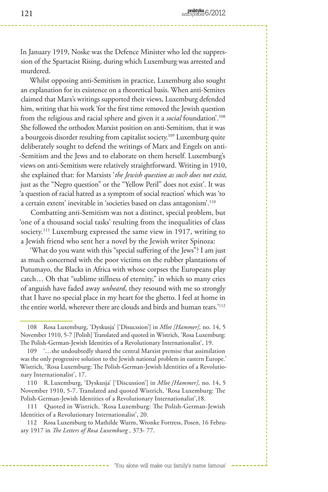In January 1919, Noske was the Defence Minister who led the suppression of the Spartacist Rising, during which Luxemburg was arrested and murdered.

Whilst opposing anti-Semitism in practice, Luxemburg also sought an explanation for its existence on a theoretical basis. When anti-Semites claimed that Marx's writings supported their views, Luxemburg defended him, writing that his work 'for the first time removed the Jewish question from the religious and racial sphere and given it a *social* foundation'.108 She followed the orthodox Marxist position on anti-Semitism, that it was a bourgeois disorder resulting from capitalist society.<sup>109</sup> Luxemburg quite deliberately sought to defend the writings of Marx and Engels on anti- -Semitism and the Jews and to elaborate on them herself. Luxemburg's views on anti-Semitism were relatively straightforward. Writing in 1910, she explained that: for Marxists '*the Jewish question as such does not exist,*  just as the "Negro question" or the "Yellow Peril" does not exist'. It was 'a question of racial hatred as a symptom of social reaction' which was 'to a certain extent' inevitable in 'societies based on class antagonism'.110

Combatting anti-Semitism was not a distinct, special problem, but 'one of a thousand social tasks' resulting from the inequalities of class society.<sup>111</sup> Luxemburg expressed the same view in 1917, writing to a Jewish friend who sent her a novel by the Jewish writer Spinoza:

'What do you want with this "special suffering of the Jews"? I am just as much concerned with the poor victims on the rubber plantations of Putumayo, the Blacks in Africa with whose corpses the Europeans play catch… Oh that "sublime stillness of eternity," in which so many cries of anguish have faded away *unheard*, they resound with me so strongly that I have no special place in my heart for the ghetto. I feel at home in the entire world, wherever there are clouds and birds and human tears.'112

110 R. Luxemburg, 'Dyskusja' ['Discussion'] in *Młot [Hammer],* no. 14, 5 November 1910, 5-7. Translated and quoted Wistrich, 'Rosa Luxemburg: The Polish-German-Jewish Identities of a Revolutionary Internationalist',18.

111 Quoted in Wistrich, 'Rosa Luxemburg: The Polish-German-Jewish Identities of a Revolutionary Internationalist', 20.

112 Rosa Luxemburg to Mathilde Wurm, Wronke Fortress, Posen, 16 February 1917 in *The Letters of Rosa Luxemburg ,* 373- 77.

<sup>108</sup> Rosa Luxemburg, 'Dyskusja' ['Disucssion'] in *Młot [Hammer],* no. 14, 5 November 1910, 5-7 [Polish] Translated and quoted in Wistrich, 'Rosa Luxemburg: The Polish-German-Jewish Identities of a Revolutionary Internationalist', 19.

<sup>109</sup> '…she undoubtedly shared the central Marxist premise that assimilation was the only progressive solution to the Jewish national problem in eastern Europe.' Wistrich, 'Rosa Luxemburg: The Polish-German-Jewish Identities of a Revolutionary Internationalist', 17.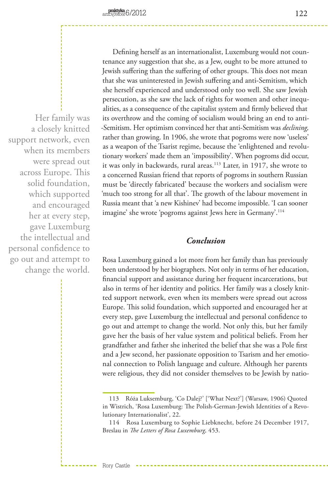Her family was a closely knitted support network, even when its members were spread out across Europe. This solid foundation, which supported and encouraged her at every step, gave Luxemburg the intellectual and personal confidence to go out and attempt to change the world.

Defining herself as an internationalist, Luxemburg would not countenance any suggestion that she, as a Jew, ought to be more attuned to Jewish suffering than the suffering of other groups. This does not mean that she was uninterested in Jewish suffering and anti-Semitism, which she herself experienced and understood only too well. She saw Jewish persecution, as she saw the lack of rights for women and other inequalities, as a consequence of the capitalist system and firmly believed that its overthrow and the coming of socialism would bring an end to anti- -Semitism. Her optimism convinced her that anti-Semitism was *declining,*  rather than growing. In 1906, she wrote that pogroms were now 'useless' as a weapon of the Tsarist regime, because the 'enlightened and revolutionary workers' made them an 'impossibility'. When pogroms did occur, it was only in backwards, rural areas.<sup>113</sup> Later, in 1917, she wrote to a concerned Russian friend that reports of pogroms in southern Russian must be 'directly fabricated' because the workers and socialism were 'much too strong for all that'. The growth of the labour movement in Russia meant that 'a new Kishinev' had become impossible. 'I can sooner imagine' she wrote 'pogroms against Jews here in Germany'.114

## *Conclusion*

Rosa Luxemburg gained a lot more from her family than has previously been understood by her biographers. Not only in terms of her education, financial support and assistance during her frequent incarcerations, but also in terms of her identity and politics. Her family was a closely knitted support network, even when its members were spread out across Europe. This solid foundation, which supported and encouraged her at every step, gave Luxemburg the intellectual and personal confidence to go out and attempt to change the world. Not only this, but her family gave her the basis of her value system and political beliefs. From her grandfather and father she inherited the belief that she was a Pole first and a Jew second, her passionate opposition to Tsarism and her emotional connection to Polish language and culture. Although her parents were religious, they did not consider themselves to be Jewish by natio-

<sup>113</sup> Róża Luksemburg, 'Co Dalej?' ['What Next?'] (Warsaw, 1906) Quoted in Wistrich, 'Rosa Luxemburg: The Polish-German-Jewish Identities of a Revolutionary Internationalist', 22.

<sup>114</sup> Rosa Luxemburg to Sophie Liebknecht, before 24 December 1917, Breslau in *The Letters of Rosa Luxemburg,* 453.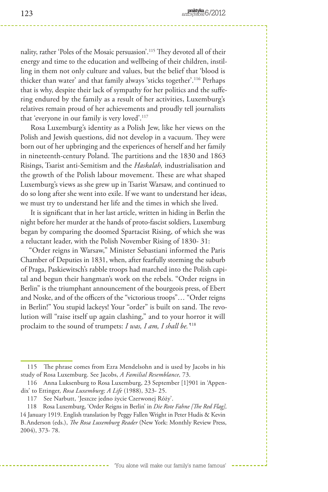nality, rather 'Poles of the Mosaic persuasion'.115 They devoted all of their energy and time to the education and wellbeing of their children, instilling in them not only culture and values, but the belief that 'blood is thicker than water' and that family always 'sticks together'.116 Perhaps that is why, despite their lack of sympathy for her politics and the suffering endured by the family as a result of her activities, Luxemburg's relatives remain proud of her achievements and proudly tell journalists that 'everyone in our family is very loved'.117

Rosa Luxemburg's identity as a Polish Jew, like her views on the Polish and Jewish questions, did not develop in a vacuum. They were born out of her upbringing and the experiences of herself and her family in nineteenth-century Poland. The partitions and the 1830 and 1863 Risings, Tsarist anti-Semitism and the *Haskalah,* industrialisation and the growth of the Polish labour movement. These are what shaped Luxemburg's views as she grew up in Tsarist Warsaw, and continued to do so long after she went into exile. If we want to understand her ideas, we must try to understand her life and the times in which she lived.

It is significant that in her last article, written in hiding in Berlin the night before her murder at the hands of proto-fascist soldiers, Luxemburg began by comparing the doomed Spartacist Rising, of which she was a reluctant leader, with the Polish November Rising of 1830- 31:

"Order reigns in Warsaw," Minister Sebastiani informed the Paris Chamber of Deputies in 1831, when, after fearfully storming the suburb of Praga, Paskiewitsch's rabble troops had marched into the Polish capital and begun their hangman's work on the rebels. "Order reigns in Berlin" is the triumphant announcement of the bourgeois press, of Ebert and Noske, and of the officers of the "victorious troops"… "Order reigns in Berlin!" You stupid lackeys! Your "order" is built on sand. The revolution will "raise itself up again clashing," and to your horror it will proclaim to the sound of trumpets: *I was, I am, I shall be.'*<sup>118</sup>

<sup>115</sup> The phrase comes from Ezra Mendelsohn and is used by Jacobs in his study of Rosa Luxemburg. See Jacobs, *A Familial Resemblance,* 73.

<sup>116</sup> Anna Luksenburg to Rosa Luxemburg, 23 September [1]901 in 'Appendix' to Ettinger, *Rosa Luxemburg; A Life* (1988), 323- 25.

<sup>117</sup> See Narbutt, 'Jeszcze jedno życie Czerwonej Róży'.

<sup>118</sup> Rosa Luxemburg, 'Order Reigns in Berlin' in *Die Rote Fahne [The Red Flag],*  14 January 1919. English translation by Peggy Fallen Wright in Peter Hudis & Kevin B. Anderson (eds.), *The Rosa Luxemburg Reader* (New York: Monthly Review Press, 2004), 373- 78.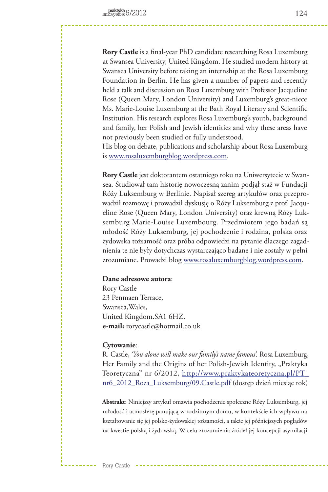**Rory Castle** is a final-year PhD candidate researching Rosa Luxemburg at Swansea University, United Kingdom. He studied modern history at Swansea University before taking an internship at the Rosa Luxemburg Foundation in Berlin. He has given a number of papers and recently held a talk and discussion on Rosa Luxemburg with Professor Jacqueline Rose (Queen Mary, London University) and Luxemburg's great-niece Ms. Marie-Louise Luxemburg at the Bath Royal Literary and Scientific Institution. His research explores Rosa Luxemburg's youth, background and family, her Polish and Jewish identities and why these areas have not previously been studied or fully understood.

His blog on debate, publications and scholarship about Rosa Luxemburg is www.rosaluxemburgblog.wordpress.com.

**Rory Castle** jest doktorantem ostatniego roku na Uniwersytecie w Swansea. Studiował tam historię nowoczesną zanim podjął staż w Fundacji Róży Luksemburg w Berlinie. Napisał szereg artykułów oraz przeprowadził rozmowę i prowadził dyskusję o Róży Luksemburg z prof. Jacqueline Rose (Queen Mary, London University) oraz krewną Róży Luksemburg Marie-Louise Luxembourg. Przedmiotem jego badań są młodość Róży Luksemburg, jej pochodzenie i rodzina, polska oraz żydowska tożsamość oraz próba odpowiedzi na pytanie dlaczego zagadnienia te nie były dotychczas wystarczająco badane i nie zostały w pełni zrozumiane. Prowadzi blog www.rosaluxemburgblog.wordpress.com.

#### **Dane adresowe autora**:

Rory Castle 23 Penmaen Terrace, Swansea,Wales, United Kingdom.SA1 6HZ. **e-mail:** rorycastle@hotmail.co.uk

#### **Cytowanie**:

R. Castle, *'You alone will make our family's name famous'.* Rosa Luxemburg, Her Family and the Origins of her Polish-Jewish Identity, "Praktyka Teoretyczna" nr 6/2012, http://www.praktykateoretyczna.pl/PT nr6\_2012\_Roza\_Luksemburg/09.Castle.pdf (dostęp dzień miesiąc rok)

**Abstrakt**: Niniejszy artykuł omawia pochodzenie społeczne Róży Luksemburg, jej młodość i atmosferę panującą w rodzinnym domu, w kontekście ich wpływu na kształtowanie się jej polsko-żydowskiej tożsamości, a także jej późniejszych poglądów na kwestie polską i żydowską. W celu zrozumienia źródeł jej koncepcji asymilacji